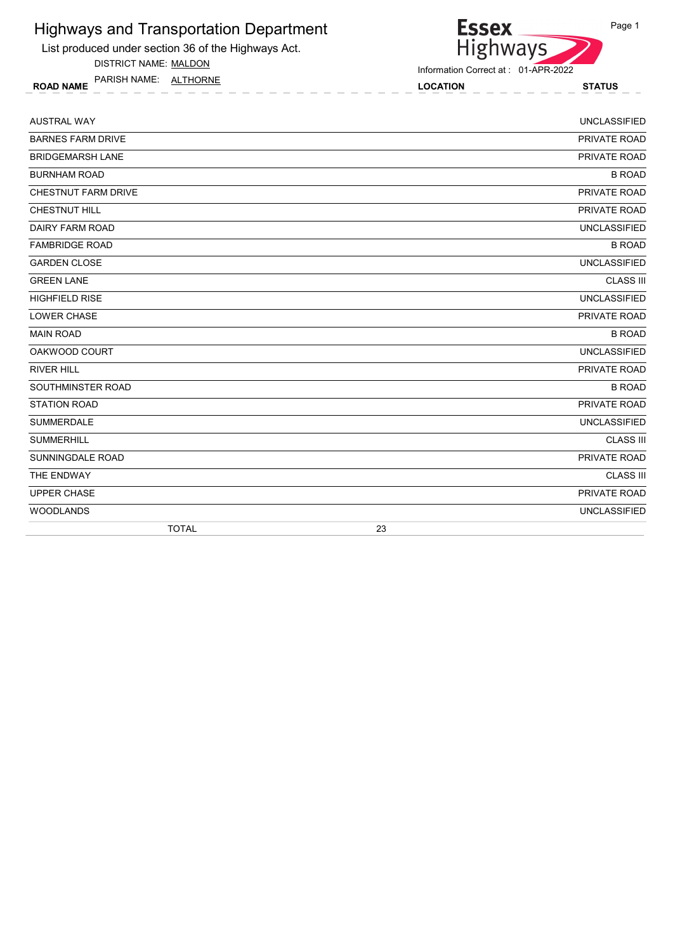List produced under section 36 of the Highways Act.

DISTRICT NAME: MALDON

ROAD NAME LOCATION STATUS PARISH NAME: ALTHORNE



| <b>AUSTRAL WAY</b>       | <b>UNCLASSIFIED</b> |  |
|--------------------------|---------------------|--|
| <b>BARNES FARM DRIVE</b> | PRIVATE ROAD        |  |
| <b>BRIDGEMARSH LANE</b>  | PRIVATE ROAD        |  |
| <b>BURNHAM ROAD</b>      | <b>B ROAD</b>       |  |
| CHESTNUT FARM DRIVE      | PRIVATE ROAD        |  |
| <b>CHESTNUT HILL</b>     | PRIVATE ROAD        |  |
| DAIRY FARM ROAD          | <b>UNCLASSIFIED</b> |  |
| <b>FAMBRIDGE ROAD</b>    | <b>B ROAD</b>       |  |
| <b>GARDEN CLOSE</b>      | <b>UNCLASSIFIED</b> |  |
| <b>GREEN LANE</b>        | <b>CLASS III</b>    |  |
| <b>HIGHFIELD RISE</b>    | <b>UNCLASSIFIED</b> |  |
| <b>LOWER CHASE</b>       | PRIVATE ROAD        |  |
| <b>MAIN ROAD</b>         | <b>B ROAD</b>       |  |
| OAKWOOD COURT            | <b>UNCLASSIFIED</b> |  |
| <b>RIVER HILL</b>        | PRIVATE ROAD        |  |
| SOUTHMINSTER ROAD        | <b>B ROAD</b>       |  |
| <b>STATION ROAD</b>      | PRIVATE ROAD        |  |
| <b>SUMMERDALE</b>        | <b>UNCLASSIFIED</b> |  |
| <b>SUMMERHILL</b>        | <b>CLASS III</b>    |  |
| SUNNINGDALE ROAD         | PRIVATE ROAD        |  |
| THE ENDWAY               | <b>CLASS III</b>    |  |
| <b>UPPER CHASE</b>       | PRIVATE ROAD        |  |
| <b>WOODLANDS</b>         | <b>UNCLASSIFIED</b> |  |
| <b>TOTAL</b>             | 23                  |  |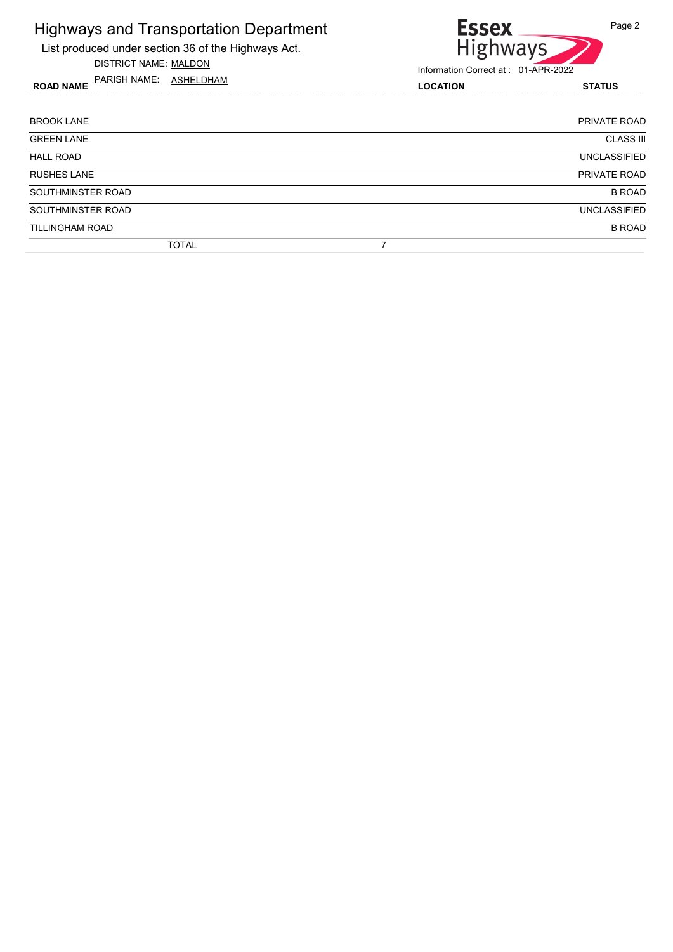

DISTRICT NAME: MALDON

ROAD NAME LOCATION STATUS PARISH NAME: ASHELDHAM



| <b>BROOK LANE</b>      | PRIVATE ROAD        |
|------------------------|---------------------|
| <b>GREEN LANE</b>      | <b>CLASS III</b>    |
| <b>HALL ROAD</b>       | <b>UNCLASSIFIED</b> |
| <b>RUSHES LANE</b>     | PRIVATE ROAD        |
| SOUTHMINSTER ROAD      | <b>B ROAD</b>       |
| SOUTHMINSTER ROAD      | <b>UNCLASSIFIED</b> |
| <b>TILLINGHAM ROAD</b> | <b>B ROAD</b>       |
| <b>TOTAL</b>           |                     |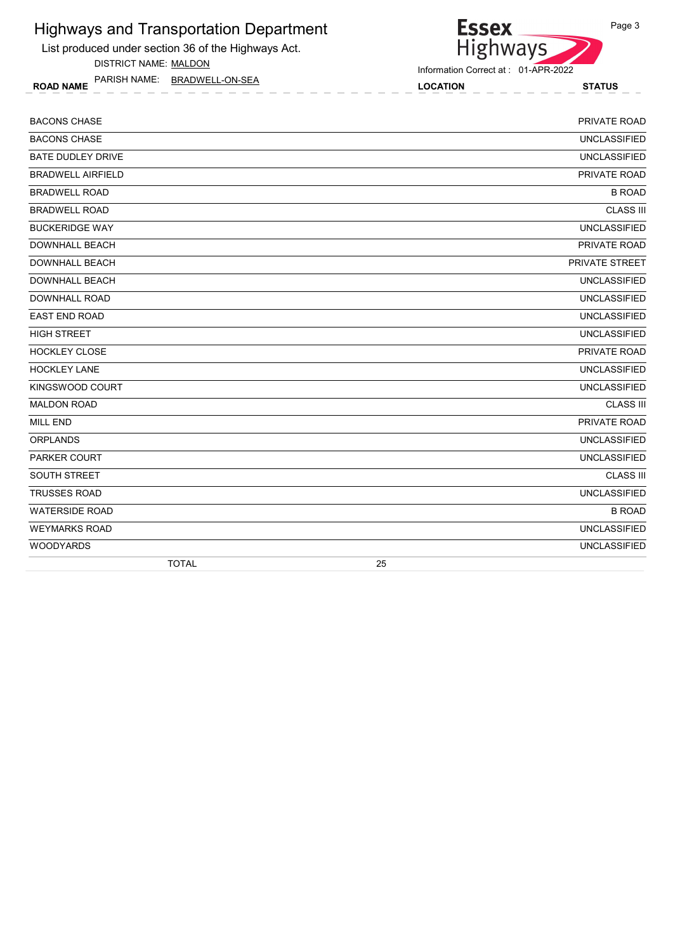List produced under section 36 of the Highways Act.

DISTRICT NAME: MALDON

ROAD NAME LOCATION STATUS PARISH NAME: BRADWELL-ON-SEA



| <b>BACONS CHASE</b>      | PRIVATE ROAD        |
|--------------------------|---------------------|
| <b>BACONS CHASE</b>      | <b>UNCLASSIFIED</b> |
| <b>BATE DUDLEY DRIVE</b> | <b>UNCLASSIFIED</b> |
| <b>BRADWELL AIRFIELD</b> | PRIVATE ROAD        |
| <b>BRADWELL ROAD</b>     | <b>B ROAD</b>       |
| <b>BRADWELL ROAD</b>     | <b>CLASS III</b>    |
| <b>BUCKERIDGE WAY</b>    | <b>UNCLASSIFIED</b> |
| <b>DOWNHALL BEACH</b>    | PRIVATE ROAD        |
| <b>DOWNHALL BEACH</b>    | PRIVATE STREET      |
| <b>DOWNHALL BEACH</b>    | <b>UNCLASSIFIED</b> |
| <b>DOWNHALL ROAD</b>     | <b>UNCLASSIFIED</b> |
| <b>EAST END ROAD</b>     | <b>UNCLASSIFIED</b> |
| <b>HIGH STREET</b>       | <b>UNCLASSIFIED</b> |
| <b>HOCKLEY CLOSE</b>     | PRIVATE ROAD        |
| <b>HOCKLEY LANE</b>      | <b>UNCLASSIFIED</b> |
| KINGSWOOD COURT          | <b>UNCLASSIFIED</b> |
| <b>MALDON ROAD</b>       | <b>CLASS III</b>    |
| <b>MILL END</b>          | PRIVATE ROAD        |
| <b>ORPLANDS</b>          | <b>UNCLASSIFIED</b> |
| <b>PARKER COURT</b>      | <b>UNCLASSIFIED</b> |
| <b>SOUTH STREET</b>      | <b>CLASS III</b>    |
| <b>TRUSSES ROAD</b>      | <b>UNCLASSIFIED</b> |
| <b>WATERSIDE ROAD</b>    | <b>B ROAD</b>       |
| <b>WEYMARKS ROAD</b>     | <b>UNCLASSIFIED</b> |
| <b>WOODYARDS</b>         | <b>UNCLASSIFIED</b> |
| <b>TOTAL</b>             | 25                  |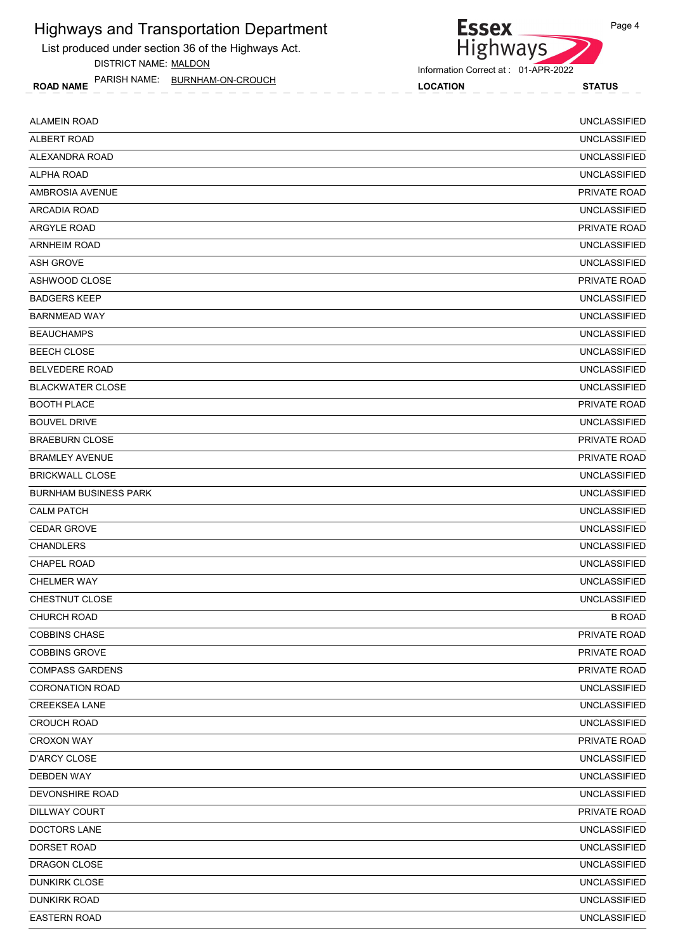List produced under section 36 of the Highways Act. DISTRICT NAME: MALDON

ROAD NAME LOCATION STATUS PARISH NAME: BURNHAM-ON-CROUCH



Information Correct at : 01-APR-2022

| <b>ALAMEIN ROAD</b>          | <b>UNCLASSIFIED</b> |
|------------------------------|---------------------|
| ALBERT ROAD                  | <b>UNCLASSIFIED</b> |
| ALEXANDRA ROAD               | <b>UNCLASSIFIED</b> |
| ALPHA ROAD                   | <b>UNCLASSIFIED</b> |
| AMBROSIA AVENUE              | PRIVATE ROAD        |
| <b>ARCADIA ROAD</b>          | <b>UNCLASSIFIED</b> |
| ARGYLE ROAD                  | <b>PRIVATE ROAD</b> |
| <b>ARNHEIM ROAD</b>          | <b>UNCLASSIFIED</b> |
| <b>ASH GROVE</b>             | <b>UNCLASSIFIED</b> |
| ASHWOOD CLOSE                | PRIVATE ROAD        |
| <b>BADGERS KEEP</b>          | <b>UNCLASSIFIED</b> |
| <b>BARNMEAD WAY</b>          | <b>UNCLASSIFIED</b> |
| <b>BEAUCHAMPS</b>            | <b>UNCLASSIFIED</b> |
| <b>BEECH CLOSE</b>           | <b>UNCLASSIFIED</b> |
| <b>BELVEDERE ROAD</b>        | <b>UNCLASSIFIED</b> |
| <b>BLACKWATER CLOSE</b>      | <b>UNCLASSIFIED</b> |
| <b>BOOTH PLACE</b>           | PRIVATE ROAD        |
| <b>BOUVEL DRIVE</b>          | <b>UNCLASSIFIED</b> |
| <b>BRAEBURN CLOSE</b>        | PRIVATE ROAD        |
| <b>BRAMLEY AVENUE</b>        | PRIVATE ROAD        |
| <b>BRICKWALL CLOSE</b>       | <b>UNCLASSIFIED</b> |
| <b>BURNHAM BUSINESS PARK</b> | <b>UNCLASSIFIED</b> |
| <b>CALM PATCH</b>            | <b>UNCLASSIFIED</b> |
| <b>CEDAR GROVE</b>           | <b>UNCLASSIFIED</b> |
| <b>CHANDLERS</b>             | <b>UNCLASSIFIED</b> |
| <b>CHAPEL ROAD</b>           | <b>UNCLASSIFIED</b> |
| <b>CHELMER WAY</b>           | <b>UNCLASSIFIED</b> |
| CHESTNUT CLOSE               | <b>UNCLASSIFIED</b> |
| CHURCH ROAD                  | <b>B ROAD</b>       |
| <b>COBBINS CHASE</b>         | <b>PRIVATE ROAD</b> |
| <b>COBBINS GROVE</b>         | PRIVATE ROAD        |
| <b>COMPASS GARDENS</b>       | PRIVATE ROAD        |
| <b>CORONATION ROAD</b>       | <b>UNCLASSIFIED</b> |
| <b>CREEKSEA LANE</b>         | <b>UNCLASSIFIED</b> |
| <b>CROUCH ROAD</b>           | <b>UNCLASSIFIED</b> |
| <b>CROXON WAY</b>            | PRIVATE ROAD        |
| D'ARCY CLOSE                 | <b>UNCLASSIFIED</b> |
| <b>DEBDEN WAY</b>            | UNCLASSIFIED        |
| DEVONSHIRE ROAD              | <b>UNCLASSIFIED</b> |
| DILLWAY COURT                | PRIVATE ROAD        |
| <b>DOCTORS LANE</b>          | <b>UNCLASSIFIED</b> |
| DORSET ROAD                  | <b>UNCLASSIFIED</b> |
| DRAGON CLOSE                 | UNCLASSIFIED        |
| <b>DUNKIRK CLOSE</b>         | <b>UNCLASSIFIED</b> |
| <b>DUNKIRK ROAD</b>          | <b>UNCLASSIFIED</b> |
| <b>EASTERN ROAD</b>          | <b>UNCLASSIFIED</b> |
|                              |                     |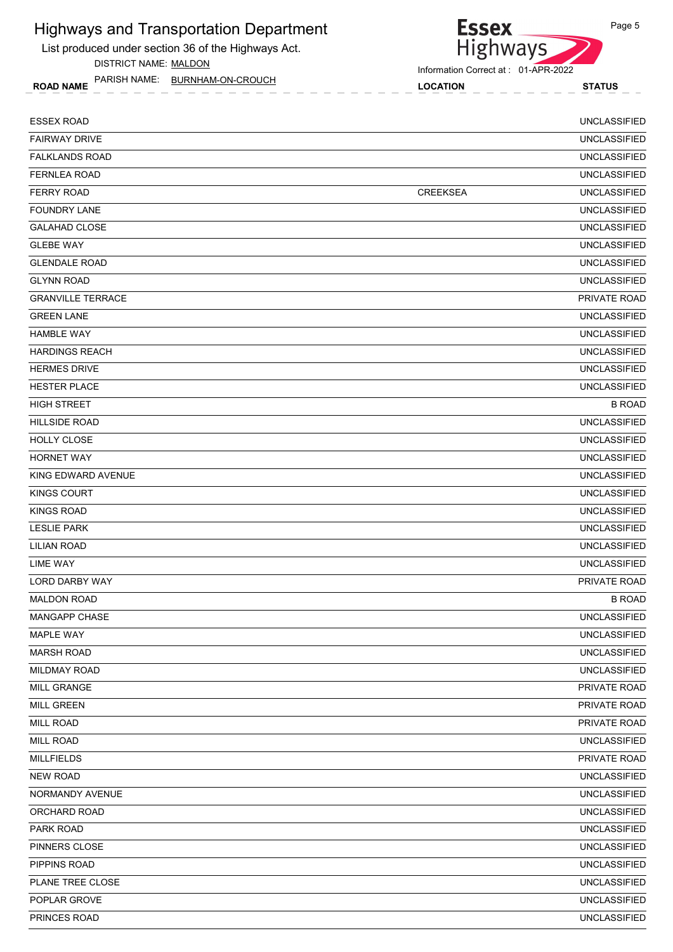List produced under section 36 of the Highways Act. DISTRICT NAME: MALDON



Information Correct at : 01-APR-2022

ROAD NAME LOCATION STATUS PARISH NAME: BURNHAM-ON-CROUCH

| <b>ESSEX ROAD</b>        |                 | <b>UNCLASSIFIED</b> |
|--------------------------|-----------------|---------------------|
| <b>FAIRWAY DRIVE</b>     |                 | <b>UNCLASSIFIED</b> |
| <b>FALKLANDS ROAD</b>    |                 | <b>UNCLASSIFIED</b> |
| <b>FERNLEA ROAD</b>      |                 | <b>UNCLASSIFIED</b> |
| <b>FERRY ROAD</b>        | <b>CREEKSEA</b> | <b>UNCLASSIFIED</b> |
| <b>FOUNDRY LANE</b>      |                 | <b>UNCLASSIFIED</b> |
| <b>GALAHAD CLOSE</b>     |                 | <b>UNCLASSIFIED</b> |
| <b>GLEBE WAY</b>         |                 | <b>UNCLASSIFIED</b> |
| <b>GLENDALE ROAD</b>     |                 | <b>UNCLASSIFIED</b> |
| <b>GLYNN ROAD</b>        |                 | <b>UNCLASSIFIED</b> |
| <b>GRANVILLE TERRACE</b> |                 | PRIVATE ROAD        |
| <b>GREEN LANE</b>        |                 | <b>UNCLASSIFIED</b> |
| <b>HAMBLE WAY</b>        |                 | <b>UNCLASSIFIED</b> |
| <b>HARDINGS REACH</b>    |                 | <b>UNCLASSIFIED</b> |
| <b>HERMES DRIVE</b>      |                 | <b>UNCLASSIFIED</b> |
| <b>HESTER PLACE</b>      |                 | <b>UNCLASSIFIED</b> |
| <b>HIGH STREET</b>       |                 | <b>B ROAD</b>       |
| <b>HILLSIDE ROAD</b>     |                 | <b>UNCLASSIFIED</b> |
| HOLLY CLOSE              |                 | <b>UNCLASSIFIED</b> |
| <b>HORNET WAY</b>        |                 | <b>UNCLASSIFIED</b> |
| KING EDWARD AVENUE       |                 | <b>UNCLASSIFIED</b> |
| <b>KINGS COURT</b>       |                 | <b>UNCLASSIFIED</b> |
| <b>KINGS ROAD</b>        |                 | <b>UNCLASSIFIED</b> |
| <b>LESLIE PARK</b>       |                 | <b>UNCLASSIFIED</b> |
| <b>LILIAN ROAD</b>       |                 | <b>UNCLASSIFIED</b> |
| <b>LIME WAY</b>          |                 | <b>UNCLASSIFIED</b> |
| <b>LORD DARBY WAY</b>    |                 | PRIVATE ROAD        |
| <b>MALDON ROAD</b>       |                 | <b>B ROAD</b>       |
| MANGAPP CHASE            |                 | <b>UNCLASSIFIED</b> |
| MAPLE WAY                |                 | <b>UNCLASSIFIED</b> |
| <b>MARSH ROAD</b>        |                 | <b>UNCLASSIFIED</b> |
| <b>MILDMAY ROAD</b>      |                 | <b>UNCLASSIFIED</b> |
| MILL GRANGE              |                 | PRIVATE ROAD        |
| <b>MILL GREEN</b>        |                 | PRIVATE ROAD        |
| <b>MILL ROAD</b>         |                 | PRIVATE ROAD        |
| <b>MILL ROAD</b>         |                 | <b>UNCLASSIFIED</b> |
| <b>MILLFIELDS</b>        |                 | PRIVATE ROAD        |
| <b>NEW ROAD</b>          |                 | <b>UNCLASSIFIED</b> |
| NORMANDY AVENUE          |                 | <b>UNCLASSIFIED</b> |
| ORCHARD ROAD             |                 | <b>UNCLASSIFIED</b> |
| PARK ROAD                |                 | <b>UNCLASSIFIED</b> |
| PINNERS CLOSE            |                 | <b>UNCLASSIFIED</b> |
| PIPPINS ROAD             |                 | <b>UNCLASSIFIED</b> |
| PLANE TREE CLOSE         |                 | <b>UNCLASSIFIED</b> |
| POPLAR GROVE             |                 | <b>UNCLASSIFIED</b> |
| PRINCES ROAD             |                 | <b>UNCLASSIFIED</b> |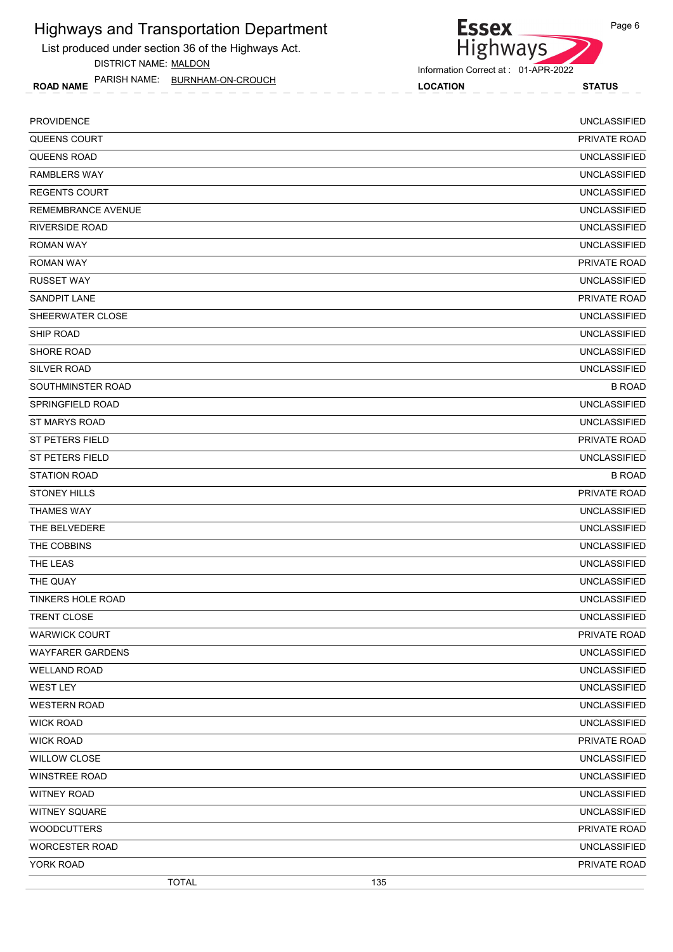List produced under section 36 of the Highways Act. DISTRICT NAME: MALDON

ROAD NAME LOCATION STATUS PARISH NAME: BURNHAM-ON-CROUCH



Information Correct at : 01-APR-2022

| <b>PROVIDENCE</b>         | <b>UNCLASSIFIED</b> |               |
|---------------------------|---------------------|---------------|
| QUEENS COURT              | PRIVATE ROAD        |               |
| <b>QUEENS ROAD</b>        | <b>UNCLASSIFIED</b> |               |
| <b>RAMBLERS WAY</b>       | <b>UNCLASSIFIED</b> |               |
| <b>REGENTS COURT</b>      | <b>UNCLASSIFIED</b> |               |
| <b>REMEMBRANCE AVENUE</b> | <b>UNCLASSIFIED</b> |               |
| <b>RIVERSIDE ROAD</b>     | <b>UNCLASSIFIED</b> |               |
| <b>ROMAN WAY</b>          | <b>UNCLASSIFIED</b> |               |
| <b>ROMAN WAY</b>          | PRIVATE ROAD        |               |
| <b>RUSSET WAY</b>         | <b>UNCLASSIFIED</b> |               |
| <b>SANDPIT LANE</b>       | PRIVATE ROAD        |               |
| SHEERWATER CLOSE          | <b>UNCLASSIFIED</b> |               |
| SHIP ROAD                 | <b>UNCLASSIFIED</b> |               |
| <b>SHORE ROAD</b>         | <b>UNCLASSIFIED</b> |               |
| <b>SILVER ROAD</b>        | <b>UNCLASSIFIED</b> |               |
| SOUTHMINSTER ROAD         |                     | <b>B ROAD</b> |
| SPRINGFIELD ROAD          | <b>UNCLASSIFIED</b> |               |
| ST MARYS ROAD             | <b>UNCLASSIFIED</b> |               |
| <b>ST PETERS FIELD</b>    | PRIVATE ROAD        |               |
| <b>ST PETERS FIELD</b>    | <b>UNCLASSIFIED</b> |               |
| <b>STATION ROAD</b>       |                     | <b>B ROAD</b> |
| <b>STONEY HILLS</b>       | PRIVATE ROAD        |               |
| <b>THAMES WAY</b>         | <b>UNCLASSIFIED</b> |               |
| THE BELVEDERE             | <b>UNCLASSIFIED</b> |               |
| THE COBBINS               | <b>UNCLASSIFIED</b> |               |
| THE LEAS                  | <b>UNCLASSIFIED</b> |               |
| THE QUAY                  | <b>UNCLASSIFIED</b> |               |
| TINKERS HOLE ROAD         | <b>UNCLASSIFIED</b> |               |
| TRENT CLOSE               | <b>UNCLASSIFIED</b> |               |
| <b>WARWICK COURT</b>      | PRIVATE ROAD        |               |
| <b>WAYFARER GARDENS</b>   | <b>UNCLASSIFIED</b> |               |
| <b>WELLAND ROAD</b>       | <b>UNCLASSIFIED</b> |               |
| WEST LEY                  | <b>UNCLASSIFIED</b> |               |
| <b>WESTERN ROAD</b>       | <b>UNCLASSIFIED</b> |               |
| <b>WICK ROAD</b>          | <b>UNCLASSIFIED</b> |               |
| <b>WICK ROAD</b>          | PRIVATE ROAD        |               |
| <b>WILLOW CLOSE</b>       | <b>UNCLASSIFIED</b> |               |
| <b>WINSTREE ROAD</b>      | <b>UNCLASSIFIED</b> |               |
| <b>WITNEY ROAD</b>        | <b>UNCLASSIFIED</b> |               |
| WITNEY SQUARE             | <b>UNCLASSIFIED</b> |               |
| <b>WOODCUTTERS</b>        | PRIVATE ROAD        |               |
| <b>WORCESTER ROAD</b>     | <b>UNCLASSIFIED</b> |               |
| YORK ROAD                 | PRIVATE ROAD        |               |
| <b>TOTAL</b>              | 135                 |               |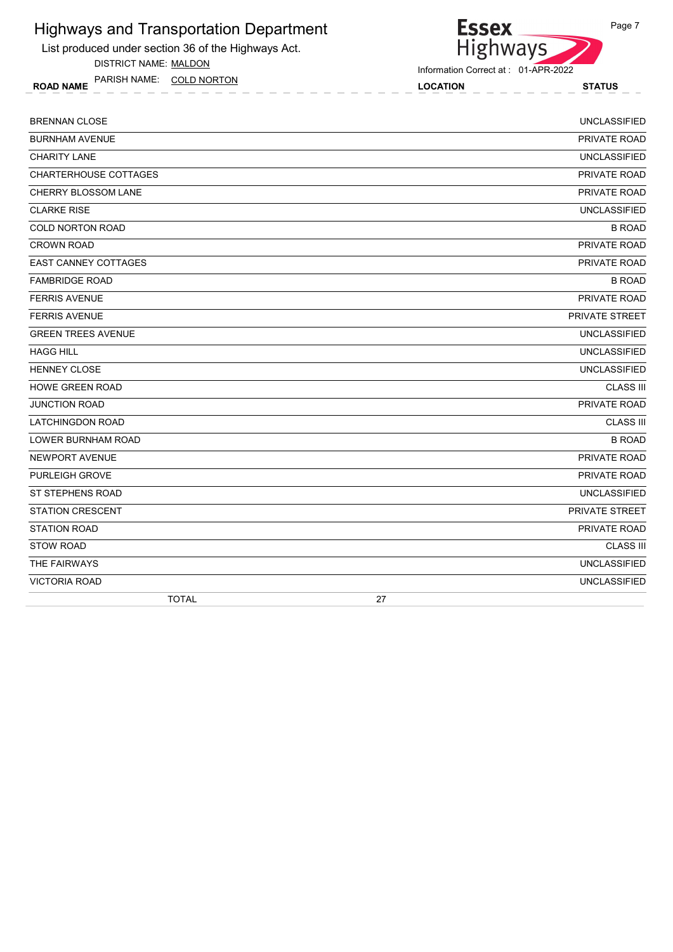List produced under section 36 of the Highways Act.

DISTRICT NAME: MALDON

ROAD NAME LOCATION STATUS PARISH NAME: COLD NORTON



Information Correct at : 01-APR-2022

| <b>BRENNAN CLOSE</b>        | <b>UNCLASSIFIED</b>   |
|-----------------------------|-----------------------|
| <b>BURNHAM AVENUE</b>       | PRIVATE ROAD          |
| <b>CHARITY LANE</b>         | <b>UNCLASSIFIED</b>   |
| CHARTERHOUSE COTTAGES       | PRIVATE ROAD          |
| <b>CHERRY BLOSSOM LANE</b>  | PRIVATE ROAD          |
| <b>CLARKE RISE</b>          | <b>UNCLASSIFIED</b>   |
| <b>COLD NORTON ROAD</b>     | <b>B ROAD</b>         |
| <b>CROWN ROAD</b>           | PRIVATE ROAD          |
| <b>EAST CANNEY COTTAGES</b> | PRIVATE ROAD          |
| <b>FAMBRIDGE ROAD</b>       | <b>B ROAD</b>         |
| <b>FERRIS AVENUE</b>        | PRIVATE ROAD          |
| <b>FERRIS AVENUE</b>        | <b>PRIVATE STREET</b> |
| <b>GREEN TREES AVENUE</b>   | <b>UNCLASSIFIED</b>   |
| <b>HAGG HILL</b>            | <b>UNCLASSIFIED</b>   |
| <b>HENNEY CLOSE</b>         | <b>UNCLASSIFIED</b>   |
| <b>HOWE GREEN ROAD</b>      | <b>CLASS III</b>      |
| JUNCTION ROAD               | PRIVATE ROAD          |
| <b>LATCHINGDON ROAD</b>     | <b>CLASS III</b>      |
| <b>LOWER BURNHAM ROAD</b>   | <b>B ROAD</b>         |
| NEWPORT AVENUE              | PRIVATE ROAD          |
| <b>PURLEIGH GROVE</b>       | PRIVATE ROAD          |
| <b>ST STEPHENS ROAD</b>     | <b>UNCLASSIFIED</b>   |
| <b>STATION CRESCENT</b>     | PRIVATE STREET        |
| <b>STATION ROAD</b>         | PRIVATE ROAD          |
| <b>STOW ROAD</b>            | <b>CLASS III</b>      |
| THE FAIRWAYS                | <b>UNCLASSIFIED</b>   |
| <b>VICTORIA ROAD</b>        | <b>UNCLASSIFIED</b>   |
| <b>TOTAL</b>                | 27                    |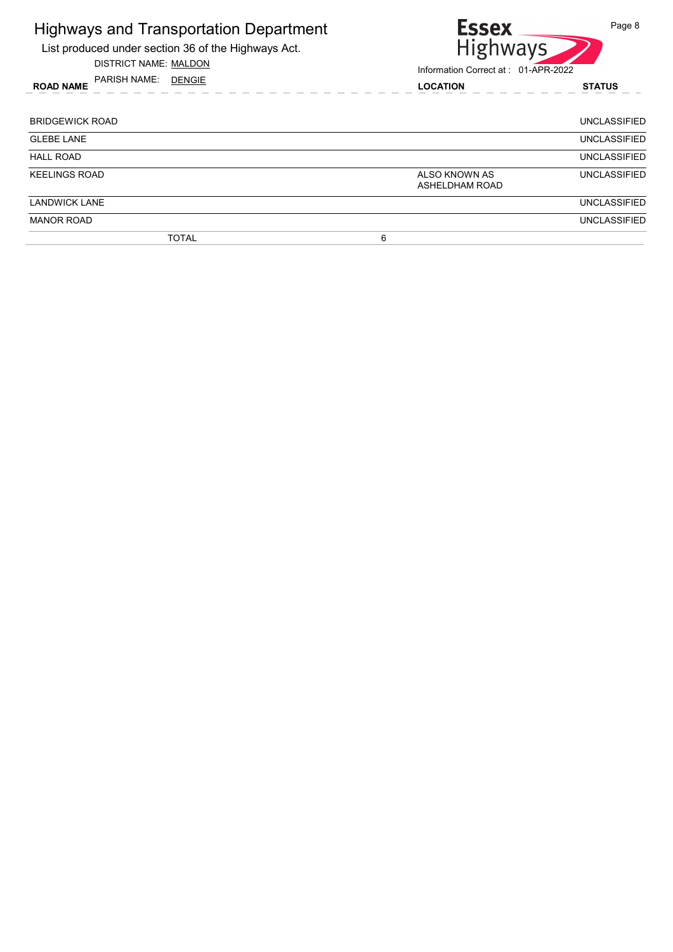|                                                                                | <b>Highways and Transportation Department</b><br>List produced under section 36 of the Highways Act.<br><b>DISTRICT NAME: MALDON</b> | <b>Essex</b><br>Page 8<br><b>Highways</b><br>Information Correct at: 01-APR-2022 |  |
|--------------------------------------------------------------------------------|--------------------------------------------------------------------------------------------------------------------------------------|----------------------------------------------------------------------------------|--|
|                                                                                | PARISH NAME: DENGIE<br><b>ROAD NAME</b>                                                                                              | <b>LOCATION</b><br><b>STATUS</b>                                                 |  |
| <b>BRIDGEWICK ROAD</b><br><b>UNCLASSIFIED</b>                                  |                                                                                                                                      |                                                                                  |  |
| <b>GLEBE LANE</b><br><b>UNCLASSIFIED</b>                                       |                                                                                                                                      |                                                                                  |  |
| <b>HALL ROAD</b><br><b>UNCLASSIFIED</b>                                        |                                                                                                                                      |                                                                                  |  |
| <b>KEELINGS ROAD</b><br>ALSO KNOWN AS<br><b>UNCLASSIFIED</b><br>ASHELDHAM ROAD |                                                                                                                                      |                                                                                  |  |
| <b>LANDWICK LANE</b><br><b>UNCLASSIFIED</b>                                    |                                                                                                                                      |                                                                                  |  |
| <b>MANOR ROAD</b><br><b>UNCLASSIFIED</b>                                       |                                                                                                                                      |                                                                                  |  |
| <b>TOTAL</b><br>6                                                              |                                                                                                                                      |                                                                                  |  |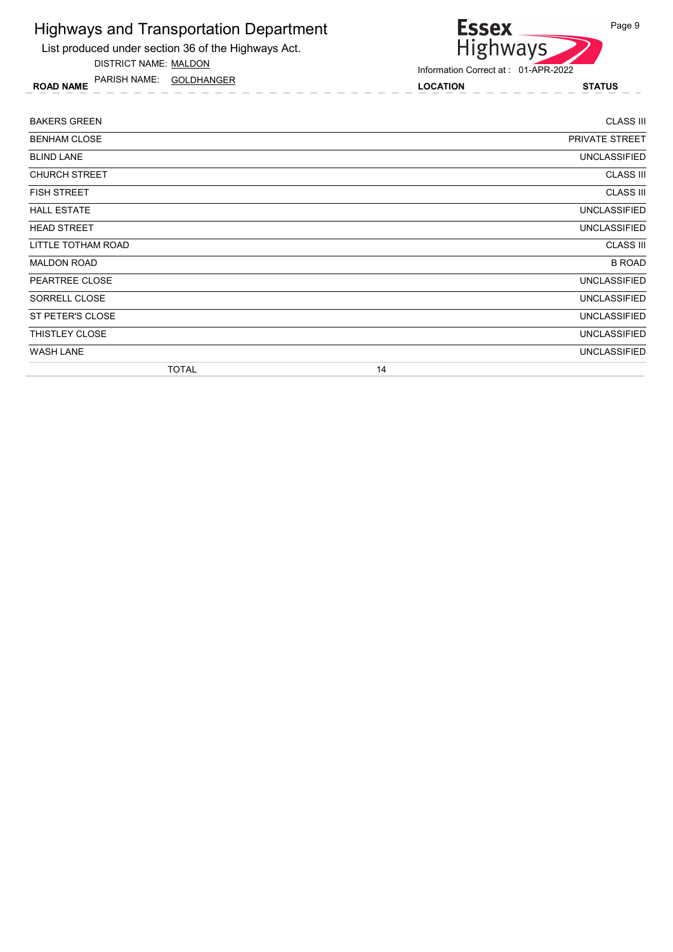List produced under section 36 of the Highways Act. DISTRICT NAME: MALDON

ROAD NAME LOCATION STATUS PARISH NAME: GOLDHANGER

# Essex<br>Highways Page 9

| <b>BAKERS GREEN</b>  |    | <b>CLASS III</b>    |
|----------------------|----|---------------------|
| <b>BENHAM CLOSE</b>  |    | PRIVATE STREET      |
| <b>BLIND LANE</b>    |    | UNCLASSIFIED        |
| <b>CHURCH STREET</b> |    | <b>CLASS III</b>    |
| <b>FISH STREET</b>   |    | <b>CLASS III</b>    |
| <b>HALL ESTATE</b>   |    | <b>UNCLASSIFIED</b> |
| <b>HEAD STREET</b>   |    | <b>UNCLASSIFIED</b> |
| LITTLE TOTHAM ROAD   |    | <b>CLASS III</b>    |
| <b>MALDON ROAD</b>   |    | <b>B ROAD</b>       |
| PEARTREE CLOSE       |    | <b>UNCLASSIFIED</b> |
| SORRELL CLOSE        |    | <b>UNCLASSIFIED</b> |
| ST PETER'S CLOSE     |    | <b>UNCLASSIFIED</b> |
| THISTLEY CLOSE       |    | <b>UNCLASSIFIED</b> |
| <b>WASH LANE</b>     |    | <b>UNCLASSIFIED</b> |
| <b>TOTAL</b>         | 14 |                     |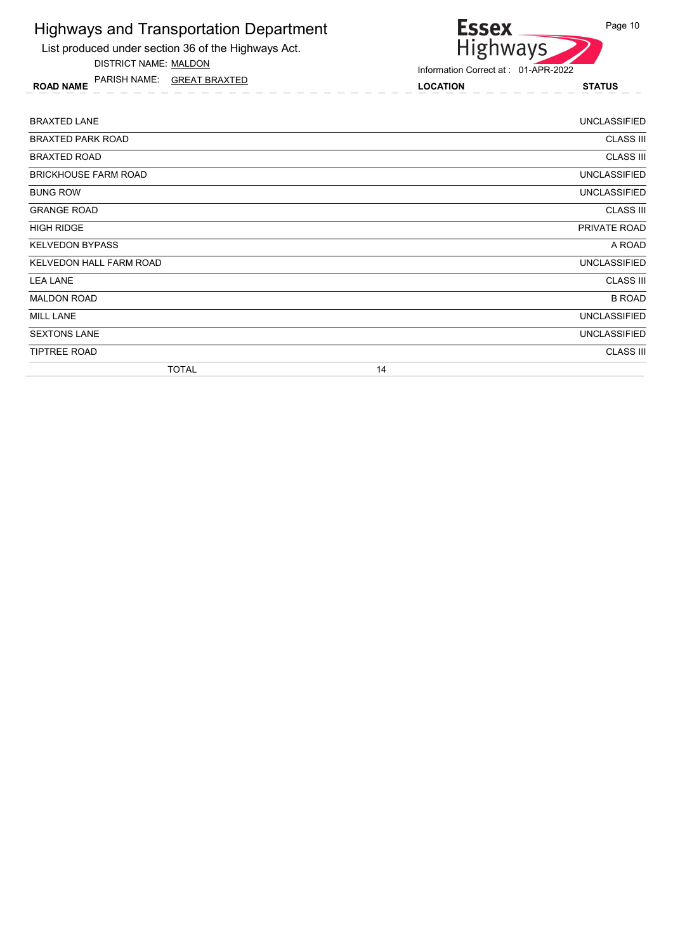List produced under section 36 of the Highways Act.

DISTRICT NAME: MALDON

ROAD NAME LOCATION STATUS PARISH NAME: GREAT BRAXTED



| <b>BRAXTED LANE</b>         |    | <b>UNCLASSIFIED</b> |
|-----------------------------|----|---------------------|
| <b>BRAXTED PARK ROAD</b>    |    | <b>CLASS III</b>    |
| <b>BRAXTED ROAD</b>         |    | <b>CLASS III</b>    |
| <b>BRICKHOUSE FARM ROAD</b> |    | <b>UNCLASSIFIED</b> |
| <b>BUNG ROW</b>             |    | <b>UNCLASSIFIED</b> |
| <b>GRANGE ROAD</b>          |    | <b>CLASS III</b>    |
| <b>HIGH RIDGE</b>           |    | PRIVATE ROAD        |
| <b>KELVEDON BYPASS</b>      |    | A ROAD              |
| KELVEDON HALL FARM ROAD     |    | <b>UNCLASSIFIED</b> |
| <b>LEA LANE</b>             |    | <b>CLASS III</b>    |
| <b>MALDON ROAD</b>          |    | <b>B ROAD</b>       |
| <b>MILL LANE</b>            |    | <b>UNCLASSIFIED</b> |
| <b>SEXTONS LANE</b>         |    | <b>UNCLASSIFIED</b> |
| <b>TIPTREE ROAD</b>         |    | <b>CLASS III</b>    |
| <b>TOTAL</b>                | 14 |                     |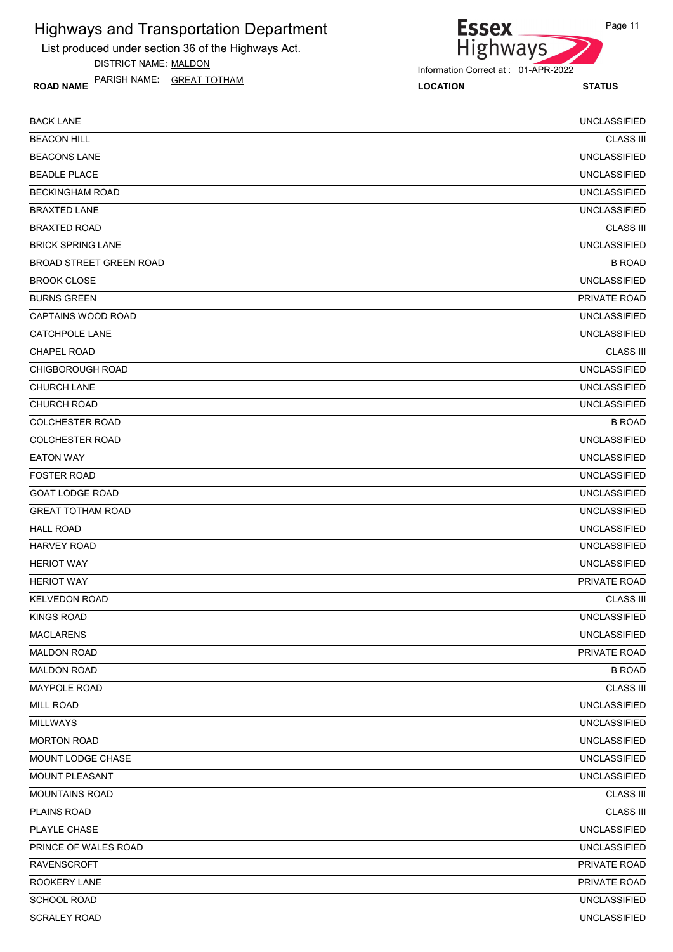List produced under section 36 of the Highways Act.

DISTRICT NAME: MALDON

ROAD NAME LOCATION STATUS PARISH NAME: GREAT TOTHAM



Highways

**Essex** 

| <b>BACK LANE</b>          | <b>UNCLASSIFIED</b> |
|---------------------------|---------------------|
| <b>BEACON HILL</b>        | <b>CLASS III</b>    |
| <b>BEACONS LANE</b>       | <b>UNCLASSIFIED</b> |
| <b>BEADLE PLACE</b>       | <b>UNCLASSIFIED</b> |
| <b>BECKINGHAM ROAD</b>    | <b>UNCLASSIFIED</b> |
| <b>BRAXTED LANE</b>       | <b>UNCLASSIFIED</b> |
| <b>BRAXTED ROAD</b>       | <b>CLASS III</b>    |
| <b>BRICK SPRING LANE</b>  | <b>UNCLASSIFIED</b> |
| BROAD STREET GREEN ROAD   | <b>B ROAD</b>       |
| <b>BROOK CLOSE</b>        | <b>UNCLASSIFIED</b> |
| <b>BURNS GREEN</b>        | PRIVATE ROAD        |
| <b>CAPTAINS WOOD ROAD</b> | <b>UNCLASSIFIED</b> |
| <b>CATCHPOLE LANE</b>     | <b>UNCLASSIFIED</b> |
| <b>CHAPEL ROAD</b>        | <b>CLASS III</b>    |
| <b>CHIGBOROUGH ROAD</b>   | <b>UNCLASSIFIED</b> |
| <b>CHURCH LANE</b>        | <b>UNCLASSIFIED</b> |
| CHURCH ROAD               | <b>UNCLASSIFIED</b> |
| <b>COLCHESTER ROAD</b>    | <b>B ROAD</b>       |
| <b>COLCHESTER ROAD</b>    | <b>UNCLASSIFIED</b> |
| <b>EATON WAY</b>          | <b>UNCLASSIFIED</b> |
| <b>FOSTER ROAD</b>        | <b>UNCLASSIFIED</b> |
| <b>GOAT LODGE ROAD</b>    | <b>UNCLASSIFIED</b> |
| <b>GREAT TOTHAM ROAD</b>  | <b>UNCLASSIFIED</b> |
| <b>HALL ROAD</b>          | <b>UNCLASSIFIED</b> |
| <b>HARVEY ROAD</b>        | <b>UNCLASSIFIED</b> |
| <b>HERIOT WAY</b>         | <b>UNCLASSIFIED</b> |
| <b>HERIOT WAY</b>         | PRIVATE ROAD        |
| <b>KELVEDON ROAD</b>      | <b>CLASS III</b>    |
| KINGS ROAD                | <b>UNCLASSIFIED</b> |
| <b>MACLARENS</b>          | <b>UNCLASSIFIED</b> |
| <b>MALDON ROAD</b>        | PRIVATE ROAD        |
| <b>MALDON ROAD</b>        | <b>B ROAD</b>       |
| <b>MAYPOLE ROAD</b>       | <b>CLASS III</b>    |
| <b>MILL ROAD</b>          | <b>UNCLASSIFIED</b> |
| <b>MILLWAYS</b>           | <b>UNCLASSIFIED</b> |
| <b>MORTON ROAD</b>        | <b>UNCLASSIFIED</b> |
| MOUNT LODGE CHASE         | <b>UNCLASSIFIED</b> |
| MOUNT PLEASANT            | <b>UNCLASSIFIED</b> |
| <b>MOUNTAINS ROAD</b>     | <b>CLASS III</b>    |
| PLAINS ROAD               | <b>CLASS III</b>    |
| PLAYLE CHASE              | <b>UNCLASSIFIED</b> |
| PRINCE OF WALES ROAD      | <b>UNCLASSIFIED</b> |
| RAVENSCROFT               | PRIVATE ROAD        |
| ROOKERY LANE              | PRIVATE ROAD        |
| SCHOOL ROAD               | <b>UNCLASSIFIED</b> |
| <b>SCRALEY ROAD</b>       | <b>UNCLASSIFIED</b> |
|                           |                     |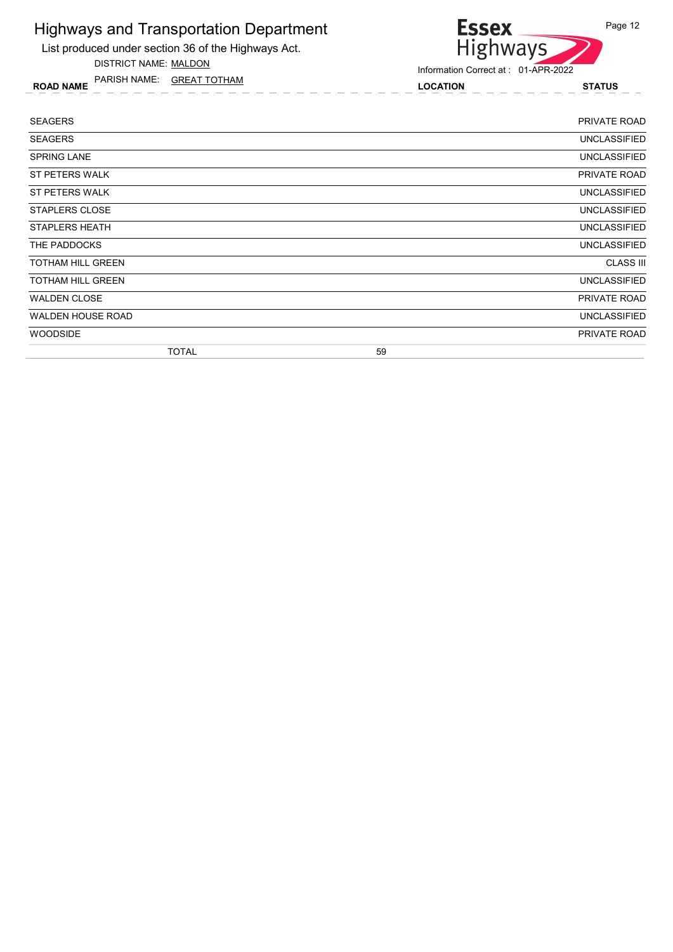List produced under section 36 of the Highways Act. DISTRICT NAME: MALDON

ROAD NAME LOCATION STATUS PARISH NAME: GREAT TOTHAM



Information Correct at : 01-APR-2022

**Essex** 

| <b>SEAGERS</b>           | <b>PRIVATE ROAD</b> |
|--------------------------|---------------------|
| <b>SEAGERS</b>           | <b>UNCLASSIFIED</b> |
| <b>SPRING LANE</b>       | <b>UNCLASSIFIED</b> |
| ST PETERS WALK           | PRIVATE ROAD        |
| ST PETERS WALK           | <b>UNCLASSIFIED</b> |
| STAPLERS CLOSE           | <b>UNCLASSIFIED</b> |
| <b>STAPLERS HEATH</b>    | <b>UNCLASSIFIED</b> |
| THE PADDOCKS             | <b>UNCLASSIFIED</b> |
| <b>TOTHAM HILL GREEN</b> | <b>CLASS III</b>    |
| <b>TOTHAM HILL GREEN</b> | <b>UNCLASSIFIED</b> |
| <b>WALDEN CLOSE</b>      | PRIVATE ROAD        |
| <b>WALDEN HOUSE ROAD</b> | <b>UNCLASSIFIED</b> |
| <b>WOODSIDE</b>          | PRIVATE ROAD        |
| <b>TOTAL</b>             | 59                  |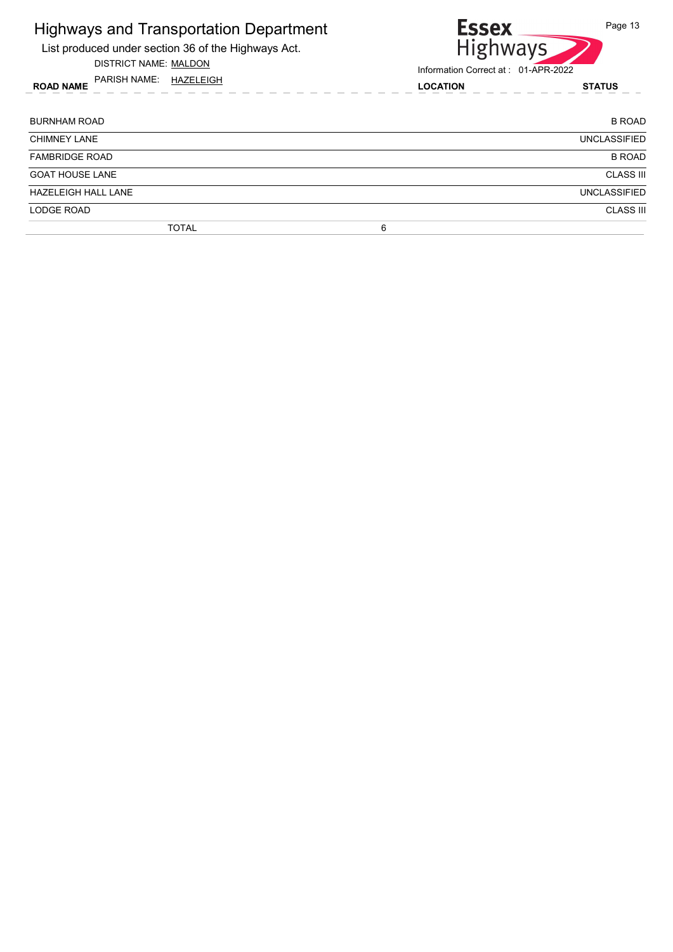| <b>Highways and Transportation Department</b><br>List produced under section 36 of the Highways Act.<br>DISTRICT NAME: MALDON | <b>Essex</b><br><b>Highways</b><br>Information Correct at: 01-APR-2022 | Page 13             |
|-------------------------------------------------------------------------------------------------------------------------------|------------------------------------------------------------------------|---------------------|
| PARISH NAME: HAZELEIGH<br><b>ROAD NAME</b>                                                                                    | <b>LOCATION</b>                                                        | <b>STATUS</b>       |
| <b>BURNHAM ROAD</b>                                                                                                           |                                                                        | <b>B ROAD</b>       |
| <b>CHIMNEY LANE</b>                                                                                                           |                                                                        | <b>UNCLASSIFIED</b> |
| <b>FAMBRIDGE ROAD</b>                                                                                                         |                                                                        | <b>B ROAD</b>       |
| <b>GOAT HOUSE LANE</b>                                                                                                        |                                                                        | <b>CLASS III</b>    |
| <b>HAZELEIGH HALL LANE</b>                                                                                                    |                                                                        | <b>UNCLASSIFIED</b> |
| LODGE ROAD                                                                                                                    |                                                                        | <b>CLASS III</b>    |
| <b>TOTAL</b>                                                                                                                  | 6                                                                      |                     |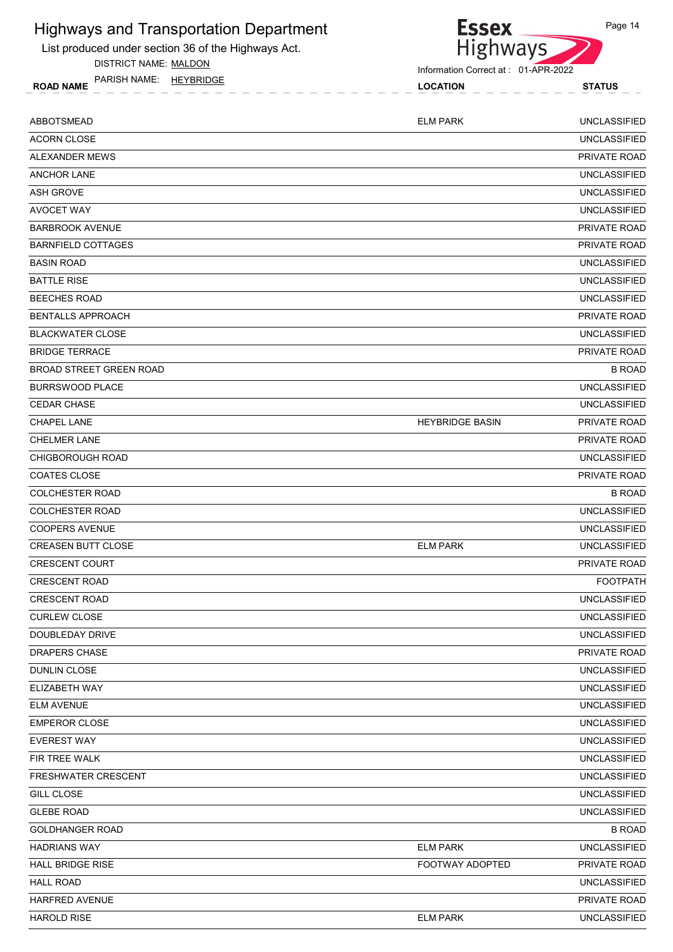List produced under section 36 of the Highways Act.

DISTRICT NAME: MALDON

ROAD NAME LOCATION STATUS PARISH NAME: HEYBRIDGE



| ABBOTSMEAD                     | <b>ELM PARK</b>        | <b>UNCLASSIFIED</b> |
|--------------------------------|------------------------|---------------------|
| <b>ACORN CLOSE</b>             |                        | <b>UNCLASSIFIED</b> |
| ALEXANDER MEWS                 |                        | <b>PRIVATE ROAD</b> |
| <b>ANCHOR LANE</b>             |                        | <b>UNCLASSIFIED</b> |
| <b>ASH GROVE</b>               |                        | <b>UNCLASSIFIED</b> |
| <b>AVOCET WAY</b>              |                        | <b>UNCLASSIFIED</b> |
| <b>BARBROOK AVENUE</b>         |                        | PRIVATE ROAD        |
| <b>BARNFIELD COTTAGES</b>      |                        | PRIVATE ROAD        |
| <b>BASIN ROAD</b>              |                        | <b>UNCLASSIFIED</b> |
| <b>BATTLE RISE</b>             |                        | <b>UNCLASSIFIED</b> |
| <b>BEECHES ROAD</b>            |                        | <b>UNCLASSIFIED</b> |
| <b>BENTALLS APPROACH</b>       |                        | PRIVATE ROAD        |
| <b>BLACKWATER CLOSE</b>        |                        | <b>UNCLASSIFIED</b> |
| <b>BRIDGE TERRACE</b>          |                        | <b>PRIVATE ROAD</b> |
| <b>BROAD STREET GREEN ROAD</b> |                        | <b>B ROAD</b>       |
| <b>BURRSWOOD PLACE</b>         |                        | <b>UNCLASSIFIED</b> |
| <b>CEDAR CHASE</b>             |                        | <b>UNCLASSIFIED</b> |
| <b>CHAPEL LANE</b>             | <b>HEYBRIDGE BASIN</b> | PRIVATE ROAD        |
| <b>CHELMER LANE</b>            |                        | <b>PRIVATE ROAD</b> |
| <b>CHIGBOROUGH ROAD</b>        |                        | <b>UNCLASSIFIED</b> |
| <b>COATES CLOSE</b>            |                        | PRIVATE ROAD        |
| <b>COLCHESTER ROAD</b>         |                        | <b>B ROAD</b>       |
| <b>COLCHESTER ROAD</b>         |                        | <b>UNCLASSIFIED</b> |
| <b>COOPERS AVENUE</b>          |                        | <b>UNCLASSIFIED</b> |
| <b>CREASEN BUTT CLOSE</b>      | <b>ELM PARK</b>        | <b>UNCLASSIFIED</b> |
| <b>CRESCENT COURT</b>          |                        | <b>PRIVATE ROAD</b> |
| <b>CRESCENT ROAD</b>           |                        | <b>FOOTPATH</b>     |
| <b>CRESCENT ROAD</b>           |                        | <b>UNCLASSIFIED</b> |
| <b>CURLEW CLOSE</b>            |                        | <b>UNCLASSIFIED</b> |
| DOUBLEDAY DRIVE                |                        | <b>UNCLASSIFIED</b> |
| DRAPERS CHASE                  |                        | PRIVATE ROAD        |
| <b>DUNLIN CLOSE</b>            |                        | <b>UNCLASSIFIED</b> |
| ELIZABETH WAY                  |                        | <b>UNCLASSIFIED</b> |
| <b>ELM AVENUE</b>              |                        | <b>UNCLASSIFIED</b> |
| <b>EMPEROR CLOSE</b>           |                        | <b>UNCLASSIFIED</b> |
| <b>EVEREST WAY</b>             |                        | <b>UNCLASSIFIED</b> |
| FIR TREE WALK                  |                        | <b>UNCLASSIFIED</b> |
| FRESHWATER CRESCENT            |                        | <b>UNCLASSIFIED</b> |
| <b>GILL CLOSE</b>              |                        | <b>UNCLASSIFIED</b> |
| <b>GLEBE ROAD</b>              |                        | <b>UNCLASSIFIED</b> |
| <b>GOLDHANGER ROAD</b>         |                        | <b>B ROAD</b>       |
| <b>HADRIANS WAY</b>            | <b>ELM PARK</b>        | <b>UNCLASSIFIED</b> |
| <b>HALL BRIDGE RISE</b>        | FOOTWAY ADOPTED        | PRIVATE ROAD        |
| <b>HALL ROAD</b>               |                        | <b>UNCLASSIFIED</b> |
| HARFRED AVENUE                 |                        | PRIVATE ROAD        |
| <b>HAROLD RISE</b>             | <b>ELM PARK</b>        | <b>UNCLASSIFIED</b> |
|                                |                        |                     |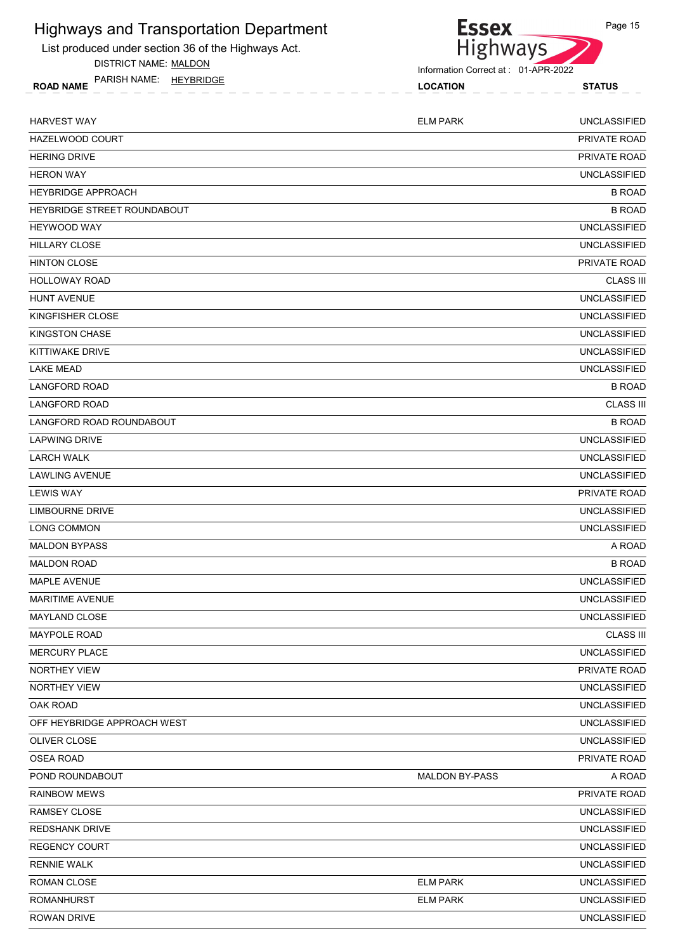List produced under section 36 of the Highways Act.

DISTRICT NAME: MALDON

ROAD NAME LOCATION STATUS PARISH NAME: HEYBRIDGE



| <b>HARVEST WAY</b>          | <b>ELM PARK</b>       | <b>UNCLASSIFIED</b> |
|-----------------------------|-----------------------|---------------------|
| HAZELWOOD COURT             |                       | PRIVATE ROAD        |
| <b>HERING DRIVE</b>         |                       | <b>PRIVATE ROAD</b> |
| <b>HERON WAY</b>            |                       | <b>UNCLASSIFIED</b> |
| <b>HEYBRIDGE APPROACH</b>   |                       | <b>B ROAD</b>       |
| HEYBRIDGE STREET ROUNDABOUT |                       | <b>B ROAD</b>       |
| <b>HEYWOOD WAY</b>          |                       | <b>UNCLASSIFIED</b> |
| <b>HILLARY CLOSE</b>        |                       | <b>UNCLASSIFIED</b> |
| <b>HINTON CLOSE</b>         |                       | PRIVATE ROAD        |
| <b>HOLLOWAY ROAD</b>        |                       | <b>CLASS III</b>    |
| <b>HUNT AVENUE</b>          |                       | <b>UNCLASSIFIED</b> |
| KINGFISHER CLOSE            |                       | <b>UNCLASSIFIED</b> |
| <b>KINGSTON CHASE</b>       |                       | <b>UNCLASSIFIED</b> |
| KITTIWAKE DRIVE             |                       | <b>UNCLASSIFIED</b> |
| <b>LAKE MEAD</b>            |                       | <b>UNCLASSIFIED</b> |
| <b>LANGFORD ROAD</b>        |                       | <b>B ROAD</b>       |
| <b>LANGFORD ROAD</b>        |                       | <b>CLASS III</b>    |
| LANGFORD ROAD ROUNDABOUT    |                       | <b>B ROAD</b>       |
| <b>LAPWING DRIVE</b>        |                       | <b>UNCLASSIFIED</b> |
| <b>LARCH WALK</b>           |                       | <b>UNCLASSIFIED</b> |
| <b>LAWLING AVENUE</b>       |                       | <b>UNCLASSIFIED</b> |
| <b>LEWIS WAY</b>            |                       | PRIVATE ROAD        |
| LIMBOURNE DRIVE             |                       | <b>UNCLASSIFIED</b> |
| LONG COMMON                 |                       | <b>UNCLASSIFIED</b> |
| <b>MALDON BYPASS</b>        |                       | A ROAD              |
| <b>MALDON ROAD</b>          |                       | <b>B ROAD</b>       |
| <b>MAPLE AVENUE</b>         |                       | <b>UNCLASSIFIED</b> |
| MARITIME AVENUE             |                       | <b>UNCLASSIFIED</b> |
| <b>MAYLAND CLOSE</b>        |                       | <b>UNCLASSIFIED</b> |
| <b>MAYPOLE ROAD</b>         |                       | <b>CLASS III</b>    |
| <b>MERCURY PLACE</b>        |                       | <b>UNCLASSIFIED</b> |
| <b>NORTHEY VIEW</b>         |                       | PRIVATE ROAD        |
| NORTHEY VIEW                |                       | <b>UNCLASSIFIED</b> |
| OAK ROAD                    |                       | UNCLASSIFIED        |
| OFF HEYBRIDGE APPROACH WEST |                       | <b>UNCLASSIFIED</b> |
| OLIVER CLOSE                |                       | <b>UNCLASSIFIED</b> |
| <b>OSEA ROAD</b>            |                       | PRIVATE ROAD        |
| POND ROUNDABOUT             | <b>MALDON BY-PASS</b> | A ROAD              |
| <b>RAINBOW MEWS</b>         |                       | PRIVATE ROAD        |
| <b>RAMSEY CLOSE</b>         |                       | <b>UNCLASSIFIED</b> |
| <b>REDSHANK DRIVE</b>       |                       | <b>UNCLASSIFIED</b> |
| <b>REGENCY COURT</b>        |                       | <b>UNCLASSIFIED</b> |
| <b>RENNIE WALK</b>          |                       | <b>UNCLASSIFIED</b> |
| ROMAN CLOSE                 | <b>ELM PARK</b>       | <b>UNCLASSIFIED</b> |
| <b>ROMANHURST</b>           | <b>ELM PARK</b>       | <b>UNCLASSIFIED</b> |
| <b>ROWAN DRIVE</b>          |                       | <b>UNCLASSIFIED</b> |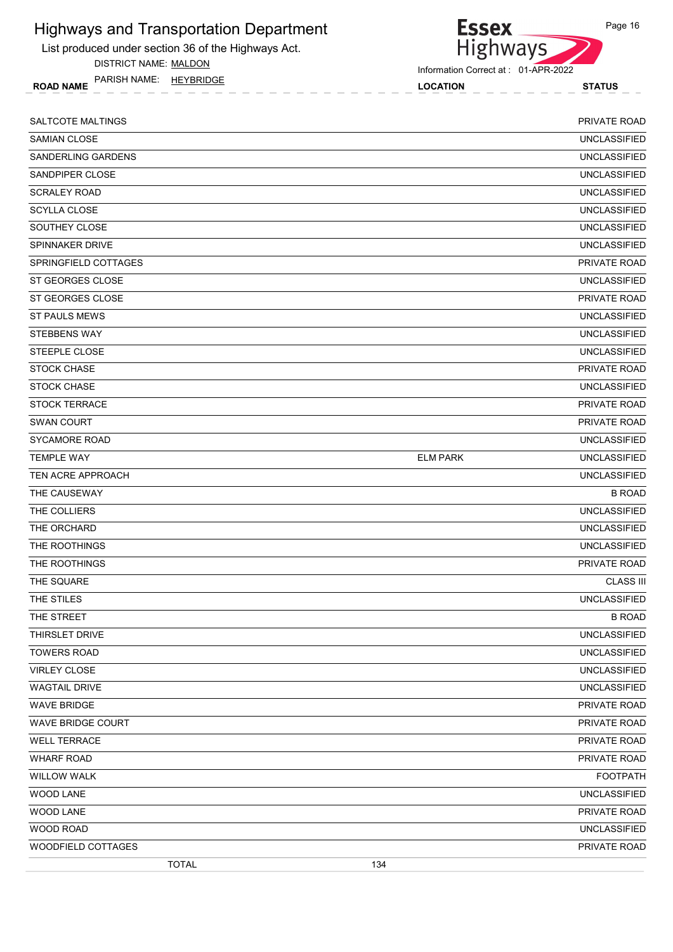List produced under section 36 of the Highways Act.

DISTRICT NAME: MALDON

ROAD NAME LOCATION STATUS PARISH NAME: HEYBRIDGE

Highways

Information Correct at : 01-APR-2022

**Essex** 

| SALTCOTE MALTINGS    |                 | PRIVATE ROAD        |
|----------------------|-----------------|---------------------|
| <b>SAMIAN CLOSE</b>  |                 | <b>UNCLASSIFIED</b> |
| SANDERLING GARDENS   |                 | <b>UNCLASSIFIED</b> |
| SANDPIPER CLOSE      |                 | <b>UNCLASSIFIED</b> |
| <b>SCRALEY ROAD</b>  |                 | <b>UNCLASSIFIED</b> |
| <b>SCYLLA CLOSE</b>  |                 | <b>UNCLASSIFIED</b> |
| SOUTHEY CLOSE        |                 | <b>UNCLASSIFIED</b> |
| SPINNAKER DRIVE      |                 | <b>UNCLASSIFIED</b> |
| SPRINGFIELD COTTAGES |                 | PRIVATE ROAD        |
| ST GEORGES CLOSE     |                 | <b>UNCLASSIFIED</b> |
| ST GEORGES CLOSE     |                 | PRIVATE ROAD        |
| <b>ST PAULS MEWS</b> |                 | <b>UNCLASSIFIED</b> |
| <b>STEBBENS WAY</b>  |                 | <b>UNCLASSIFIED</b> |
| STEEPLE CLOSE        |                 | <b>UNCLASSIFIED</b> |
| <b>STOCK CHASE</b>   |                 | PRIVATE ROAD        |
| <b>STOCK CHASE</b>   |                 | <b>UNCLASSIFIED</b> |
| <b>STOCK TERRACE</b> |                 | PRIVATE ROAD        |
| SWAN COURT           |                 | PRIVATE ROAD        |
| <b>SYCAMORE ROAD</b> |                 | <b>UNCLASSIFIED</b> |
| <b>TEMPLE WAY</b>    | <b>ELM PARK</b> | <b>UNCLASSIFIED</b> |
| TEN ACRE APPROACH    |                 | <b>UNCLASSIFIED</b> |
| THE CAUSEWAY         |                 | <b>B ROAD</b>       |
| THE COLLIERS         |                 | <b>UNCLASSIFIED</b> |
| THE ORCHARD          |                 | <b>UNCLASSIFIED</b> |
| THE ROOTHINGS        |                 | <b>UNCLASSIFIED</b> |
| THE ROOTHINGS        |                 | PRIVATE ROAD        |
| THE SQUARE           |                 | <b>CLASS III</b>    |
| THE STILES           |                 | <b>UNCLASSIFIED</b> |
| THE STREET           |                 | <b>B ROAD</b>       |
| THIRSLET DRIVE       |                 | UNCLASSIFIED        |
| <b>TOWERS ROAD</b>   |                 | <b>UNCLASSIFIED</b> |
| <b>VIRLEY CLOSE</b>  |                 | UNCLASSIFIED        |
| <b>WAGTAIL DRIVE</b> |                 | <b>UNCLASSIFIED</b> |
| <b>WAVE BRIDGE</b>   |                 | PRIVATE ROAD        |
| WAVE BRIDGE COURT    |                 | PRIVATE ROAD        |
| <b>WELL TERRACE</b>  |                 | PRIVATE ROAD        |
| <b>WHARF ROAD</b>    |                 | PRIVATE ROAD        |
| <b>WILLOW WALK</b>   |                 | <b>FOOTPATH</b>     |
| WOOD LANE            |                 | <b>UNCLASSIFIED</b> |
| WOOD LANE            |                 | PRIVATE ROAD        |
| WOOD ROAD            |                 | <b>UNCLASSIFIED</b> |
| WOODFIELD COTTAGES   |                 | PRIVATE ROAD        |
| <b>TOTAL</b>         | 134             |                     |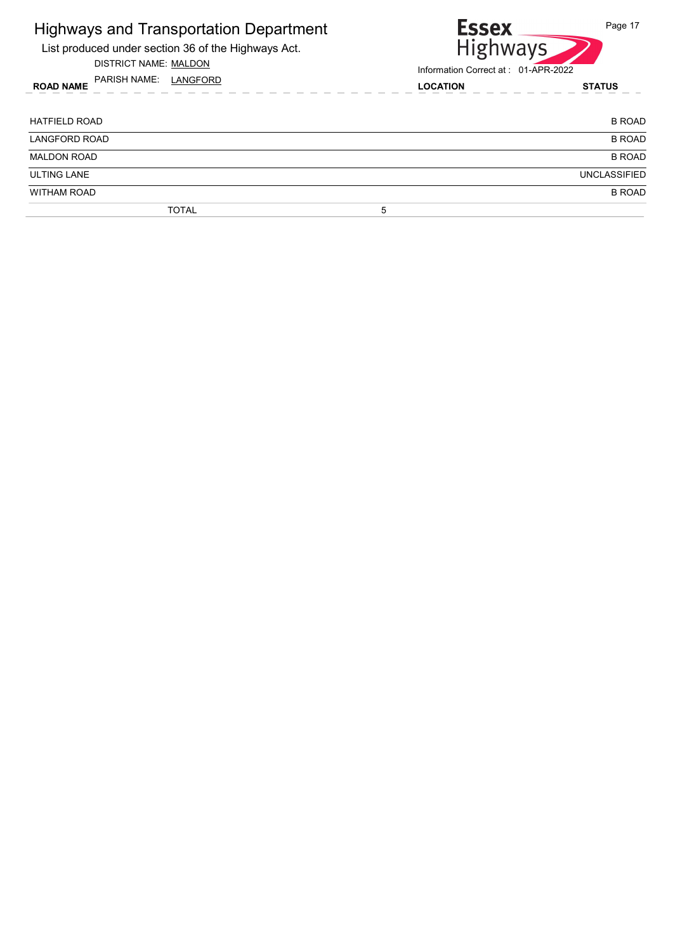| <b>Highways and Transportation Department</b><br>List produced under section 36 of the Highways Act.<br>DISTRICT NAME: MALDON<br>PARISH NAME: LANGFORD<br><b>ROAD NAME</b> |                 | <b>Essex</b><br>Page 17<br><b>Highways</b><br>Information Correct at: 01-APR-2022 |  |
|----------------------------------------------------------------------------------------------------------------------------------------------------------------------------|-----------------|-----------------------------------------------------------------------------------|--|
|                                                                                                                                                                            | <b>LOCATION</b> | <b>STATUS</b>                                                                     |  |
| HATFIELD ROAD                                                                                                                                                              |                 | <b>B ROAD</b>                                                                     |  |
| <b>LANGFORD ROAD</b>                                                                                                                                                       |                 | <b>B ROAD</b>                                                                     |  |
| <b>MALDON ROAD</b>                                                                                                                                                         |                 | <b>B ROAD</b>                                                                     |  |
| <b>ULTING LANE</b>                                                                                                                                                         |                 | <b>UNCLASSIFIED</b>                                                               |  |
| <b>WITHAM ROAD</b>                                                                                                                                                         |                 | <b>B ROAD</b>                                                                     |  |
| TOTAL                                                                                                                                                                      | 5               |                                                                                   |  |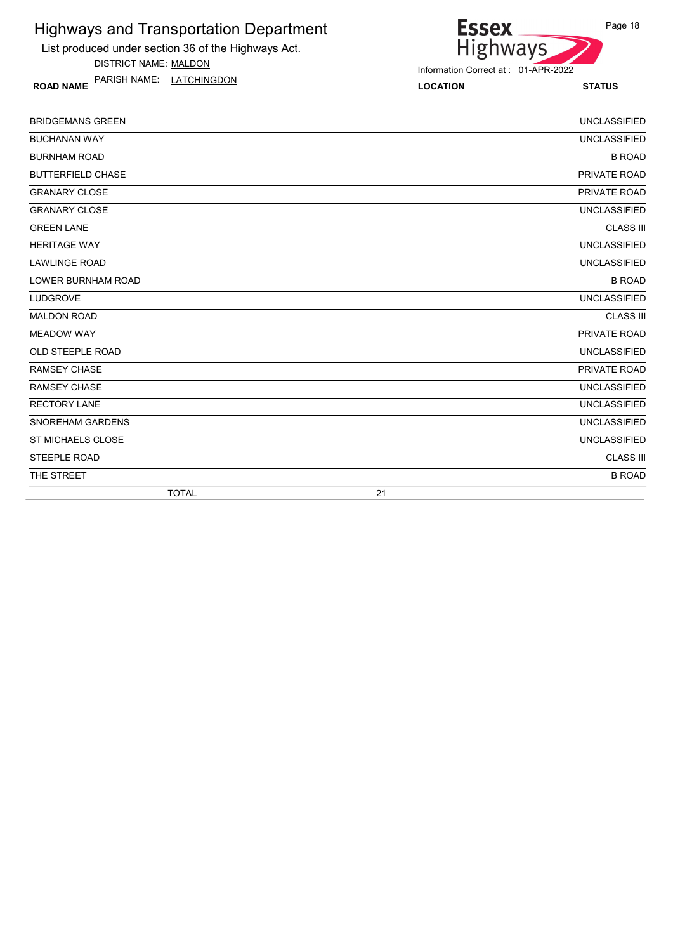List produced under section 36 of the Highways Act.

DISTRICT NAME: MALDON

ROAD NAME LOCATION STATUS PARISH NAME: LATCHINGDON

Information Correct at : 01-APR-2022

Essex<br>Highways

| <b>BRIDGEMANS GREEN</b>   | <b>UNCLASSIFIED</b> |
|---------------------------|---------------------|
| <b>BUCHANAN WAY</b>       | <b>UNCLASSIFIED</b> |
| <b>BURNHAM ROAD</b>       | <b>B ROAD</b>       |
| <b>BUTTERFIELD CHASE</b>  | PRIVATE ROAD        |
| <b>GRANARY CLOSE</b>      | PRIVATE ROAD        |
| <b>GRANARY CLOSE</b>      | <b>UNCLASSIFIED</b> |
| <b>GREEN LANE</b>         | <b>CLASS III</b>    |
| <b>HERITAGE WAY</b>       | <b>UNCLASSIFIED</b> |
| <b>LAWLINGE ROAD</b>      | <b>UNCLASSIFIED</b> |
| <b>LOWER BURNHAM ROAD</b> | <b>B ROAD</b>       |
| <b>LUDGROVE</b>           | <b>UNCLASSIFIED</b> |
| <b>MALDON ROAD</b>        | <b>CLASS III</b>    |
| <b>MEADOW WAY</b>         | PRIVATE ROAD        |
| OLD STEEPLE ROAD          | <b>UNCLASSIFIED</b> |
| <b>RAMSEY CHASE</b>       | PRIVATE ROAD        |
| <b>RAMSEY CHASE</b>       | <b>UNCLASSIFIED</b> |
| <b>RECTORY LANE</b>       | <b>UNCLASSIFIED</b> |
| SNOREHAM GARDENS          | <b>UNCLASSIFIED</b> |
| ST MICHAELS CLOSE         | <b>UNCLASSIFIED</b> |
| STEEPLE ROAD              | <b>CLASS III</b>    |
| THE STREET                | <b>B ROAD</b>       |
| <b>TOTAL</b>              | 21                  |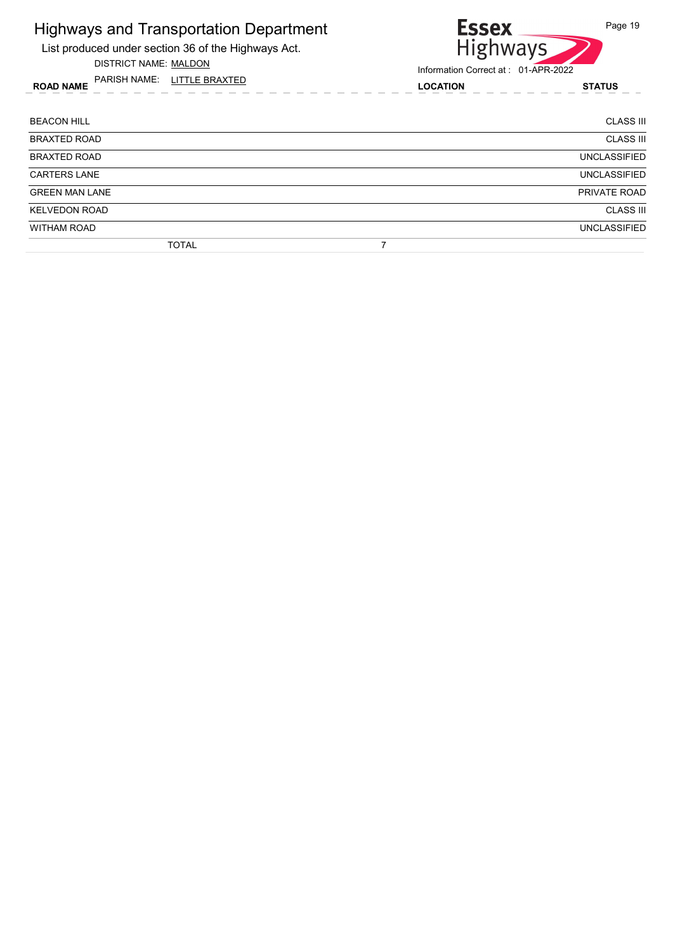List produced under section 36 of the Highways Act.

DISTRICT NAME: MALDON

ROAD NAME LOCATION STATUS PARISH NAME: LITTLE BRAXTED



| <b>BEACON HILL</b>    | <b>CLASS III</b>    |
|-----------------------|---------------------|
| <b>BRAXTED ROAD</b>   | <b>CLASS III</b>    |
| <b>BRAXTED ROAD</b>   | <b>UNCLASSIFIED</b> |
| <b>CARTERS LANE</b>   | <b>UNCLASSIFIED</b> |
| <b>GREEN MAN LANE</b> | PRIVATE ROAD        |
| <b>KELVEDON ROAD</b>  | <b>CLASS III</b>    |
| <b>WITHAM ROAD</b>    | <b>UNCLASSIFIED</b> |
| <b>TOTAL</b>          |                     |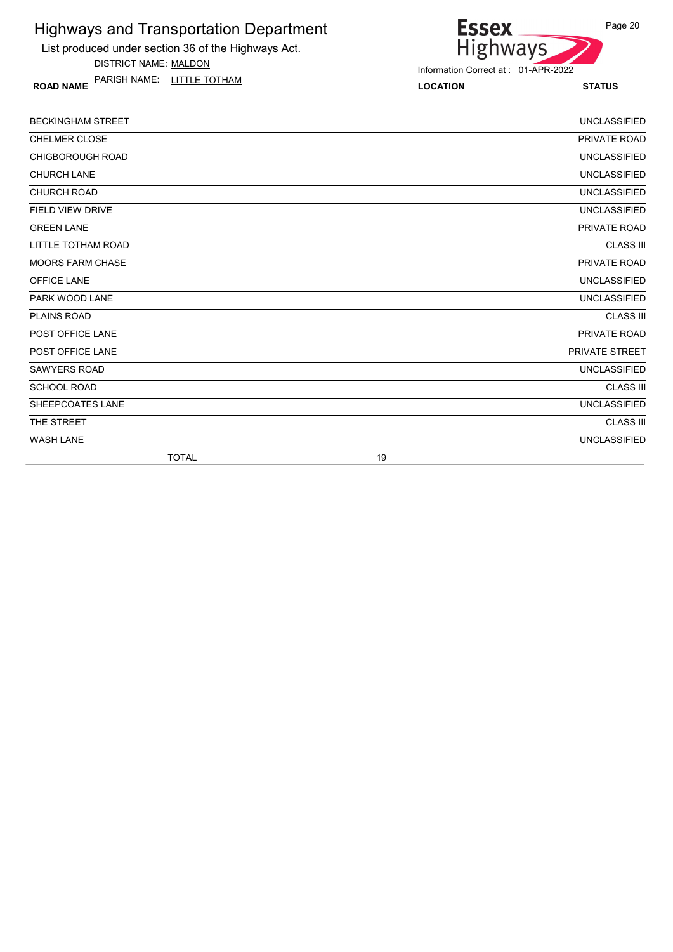List produced under section 36 of the Highways Act.

DISTRICT NAME: MALDON

ROAD NAME LOCATION STATUS PARISH NAME: LITTLE TOTHAM



| <b>BECKINGHAM STREET</b> | <b>UNCLASSIFIED</b> |
|--------------------------|---------------------|
| <b>CHELMER CLOSE</b>     | PRIVATE ROAD        |
| <b>CHIGBOROUGH ROAD</b>  | <b>UNCLASSIFIED</b> |
| <b>CHURCH LANE</b>       | <b>UNCLASSIFIED</b> |
| <b>CHURCH ROAD</b>       | <b>UNCLASSIFIED</b> |
| <b>FIELD VIEW DRIVE</b>  | <b>UNCLASSIFIED</b> |
| <b>GREEN LANE</b>        | PRIVATE ROAD        |
| LITTLE TOTHAM ROAD       | <b>CLASS III</b>    |
| <b>MOORS FARM CHASE</b>  | PRIVATE ROAD        |
| OFFICE LANE              | <b>UNCLASSIFIED</b> |
| PARK WOOD LANE           | <b>UNCLASSIFIED</b> |
| PLAINS ROAD              | <b>CLASS III</b>    |
| POST OFFICE LANE         | PRIVATE ROAD        |
| POST OFFICE LANE         | PRIVATE STREET      |
| <b>SAWYERS ROAD</b>      | <b>UNCLASSIFIED</b> |
| <b>SCHOOL ROAD</b>       | <b>CLASS III</b>    |
| SHEEPCOATES LANE         | <b>UNCLASSIFIED</b> |
| THE STREET               | <b>CLASS III</b>    |
| <b>WASH LANE</b>         | <b>UNCLASSIFIED</b> |
| <b>TOTAL</b>             | 19                  |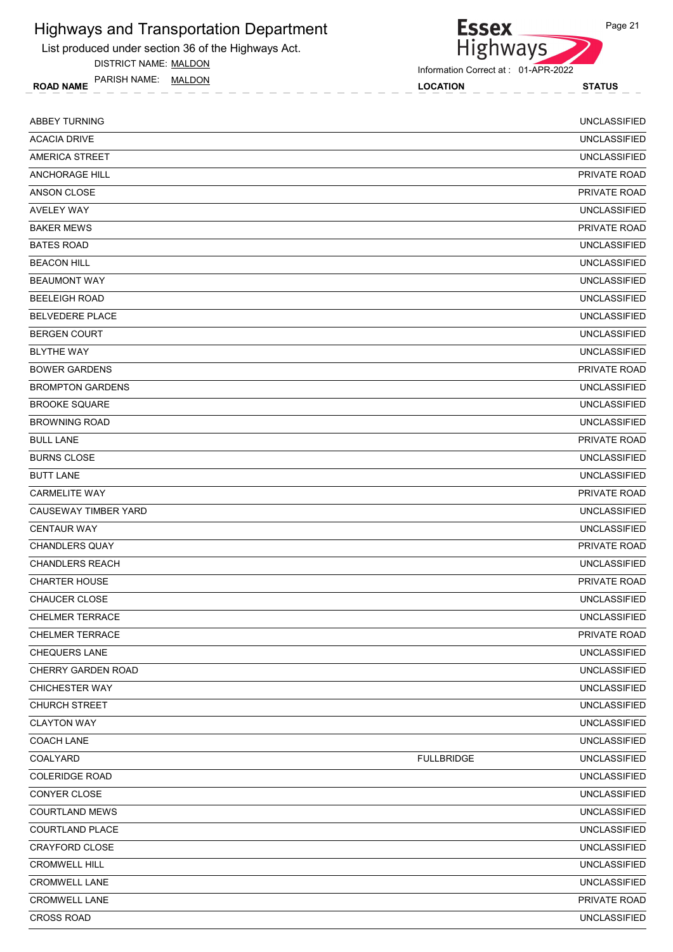List produced under section 36 of the Highways Act.

DISTRICT NAME: MALDON

ROAD NAME LOCATION STATUS PARISH NAME: MALDON

Highways Information Correct at : 01-APR-2022

| <b>ABBEY TURNING</b>    |                   | <b>UNCLASSIFIED</b> |
|-------------------------|-------------------|---------------------|
| <b>ACACIA DRIVE</b>     |                   | <b>UNCLASSIFIED</b> |
| <b>AMERICA STREET</b>   |                   | <b>UNCLASSIFIED</b> |
| <b>ANCHORAGE HILL</b>   |                   | PRIVATE ROAD        |
| ANSON CLOSE             |                   | PRIVATE ROAD        |
| <b>AVELEY WAY</b>       |                   | <b>UNCLASSIFIED</b> |
| <b>BAKER MEWS</b>       |                   | PRIVATE ROAD        |
| <b>BATES ROAD</b>       |                   | <b>UNCLASSIFIED</b> |
| <b>BEACON HILL</b>      |                   | <b>UNCLASSIFIED</b> |
| <b>BEAUMONT WAY</b>     |                   | <b>UNCLASSIFIED</b> |
| <b>BEELEIGH ROAD</b>    |                   | <b>UNCLASSIFIED</b> |
| <b>BELVEDERE PLACE</b>  |                   | <b>UNCLASSIFIED</b> |
| <b>BERGEN COURT</b>     |                   | <b>UNCLASSIFIED</b> |
| <b>BLYTHE WAY</b>       |                   | <b>UNCLASSIFIED</b> |
| <b>BOWER GARDENS</b>    |                   | PRIVATE ROAD        |
| <b>BROMPTON GARDENS</b> |                   | <b>UNCLASSIFIED</b> |
| <b>BROOKE SQUARE</b>    |                   | <b>UNCLASSIFIED</b> |
| <b>BROWNING ROAD</b>    |                   | <b>UNCLASSIFIED</b> |
| <b>BULL LANE</b>        |                   | PRIVATE ROAD        |
| <b>BURNS CLOSE</b>      |                   | <b>UNCLASSIFIED</b> |
| <b>BUTT LANE</b>        |                   | <b>UNCLASSIFIED</b> |
| <b>CARMELITE WAY</b>    |                   | PRIVATE ROAD        |
| CAUSEWAY TIMBER YARD    |                   | <b>UNCLASSIFIED</b> |
| <b>CENTAUR WAY</b>      |                   | <b>UNCLASSIFIED</b> |
| <b>CHANDLERS QUAY</b>   |                   | PRIVATE ROAD        |
| <b>CHANDLERS REACH</b>  |                   | <b>UNCLASSIFIED</b> |
| <b>CHARTER HOUSE</b>    |                   | PRIVATE ROAD        |
| <b>CHAUCER CLOSE</b>    |                   | <b>UNCLASSIFIED</b> |
| <b>CHELMER TERRACE</b>  |                   | <b>UNCLASSIFIED</b> |
| <b>CHELMER TERRACE</b>  |                   | PRIVATE ROAD        |
| CHEQUERS LANE           |                   | <b>UNCLASSIFIED</b> |
| CHERRY GARDEN ROAD      |                   | UNCLASSIFIED        |
| <b>CHICHESTER WAY</b>   |                   | <b>UNCLASSIFIED</b> |
| CHURCH STREET           |                   | UNCLASSIFIED        |
| <b>CLAYTON WAY</b>      |                   | <b>UNCLASSIFIED</b> |
| <b>COACH LANE</b>       |                   | UNCLASSIFIED        |
| COALYARD                | <b>FULLBRIDGE</b> | <b>UNCLASSIFIED</b> |
| <b>COLERIDGE ROAD</b>   |                   | UNCLASSIFIED        |
| CONYER CLOSE            |                   | UNCLASSIFIED        |
| <b>COURTLAND MEWS</b>   |                   | <b>UNCLASSIFIED</b> |
| <b>COURTLAND PLACE</b>  |                   | <b>UNCLASSIFIED</b> |
| CRAYFORD CLOSE          |                   | <b>UNCLASSIFIED</b> |
| <b>CROMWELL HILL</b>    |                   | <b>UNCLASSIFIED</b> |
| <b>CROMWELL LANE</b>    |                   | UNCLASSIFIED        |
| CROMWELL LANE           |                   | PRIVATE ROAD        |
| CROSS ROAD              |                   | UNCLASSIFIED        |

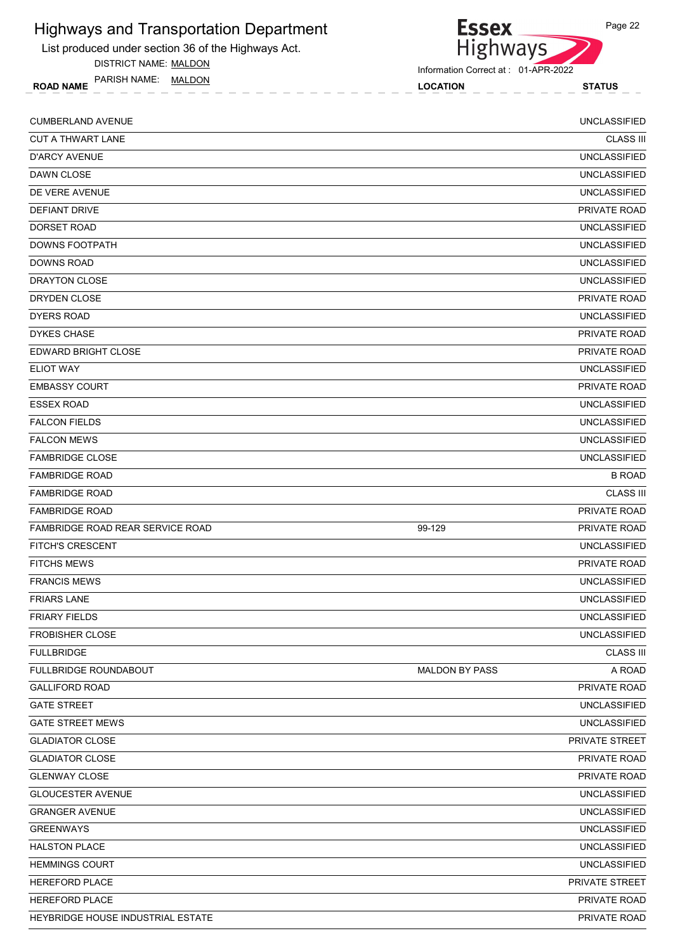List produced under section 36 of the Highways Act.

DISTRICT NAME: MALDON

ROAD NAME LOCATION STATUS PARISH NAME: MALDON

Information Correct at : 01-APR-2022

| <b>CUMBERLAND AVENUE</b>          |                       | <b>UNCLASSIFIED</b> |
|-----------------------------------|-----------------------|---------------------|
| <b>CUT A THWART LANE</b>          |                       | <b>CLASS III</b>    |
| <b>D'ARCY AVENUE</b>              |                       | <b>UNCLASSIFIED</b> |
| DAWN CLOSE                        |                       | <b>UNCLASSIFIED</b> |
| DE VERE AVENUE                    |                       | <b>UNCLASSIFIED</b> |
| DEFIANT DRIVE                     |                       | PRIVATE ROAD        |
| <b>DORSET ROAD</b>                |                       | <b>UNCLASSIFIED</b> |
| DOWNS FOOTPATH                    |                       | <b>UNCLASSIFIED</b> |
| DOWNS ROAD                        |                       | <b>UNCLASSIFIED</b> |
| DRAYTON CLOSE                     |                       | <b>UNCLASSIFIED</b> |
| DRYDEN CLOSE                      |                       | PRIVATE ROAD        |
| <b>DYERS ROAD</b>                 |                       | <b>UNCLASSIFIED</b> |
| <b>DYKES CHASE</b>                |                       | PRIVATE ROAD        |
| EDWARD BRIGHT CLOSE               |                       | PRIVATE ROAD        |
| <b>ELIOT WAY</b>                  |                       | <b>UNCLASSIFIED</b> |
| <b>EMBASSY COURT</b>              |                       | PRIVATE ROAD        |
| <b>ESSEX ROAD</b>                 |                       | <b>UNCLASSIFIED</b> |
| <b>FALCON FIELDS</b>              |                       | <b>UNCLASSIFIED</b> |
| <b>FALCON MEWS</b>                |                       | <b>UNCLASSIFIED</b> |
| <b>FAMBRIDGE CLOSE</b>            |                       | <b>UNCLASSIFIED</b> |
| <b>FAMBRIDGE ROAD</b>             |                       | <b>B ROAD</b>       |
| <b>FAMBRIDGE ROAD</b>             |                       | <b>CLASS III</b>    |
| <b>FAMBRIDGE ROAD</b>             |                       | <b>PRIVATE ROAD</b> |
| FAMBRIDGE ROAD REAR SERVICE ROAD  | 99-129                | PRIVATE ROAD        |
| <b>FITCH'S CRESCENT</b>           |                       | <b>UNCLASSIFIED</b> |
| <b>FITCHS MEWS</b>                |                       | <b>PRIVATE ROAD</b> |
| <b>FRANCIS MEWS</b>               |                       | <b>UNCLASSIFIED</b> |
| <b>FRIARS LANE</b>                |                       | <b>UNCLASSIFIED</b> |
| <b>FRIARY FIELDS</b>              |                       | <b>UNCLASSIFIED</b> |
| <b>FROBISHER CLOSE</b>            |                       | <b>UNCLASSIFIED</b> |
| <b>FULLBRIDGE</b>                 |                       | <b>CLASS III</b>    |
| <b>FULLBRIDGE ROUNDABOUT</b>      | <b>MALDON BY PASS</b> | A ROAD              |
| <b>GALLIFORD ROAD</b>             |                       | PRIVATE ROAD        |
| <b>GATE STREET</b>                |                       | <b>UNCLASSIFIED</b> |
| <b>GATE STREET MEWS</b>           |                       | <b>UNCLASSIFIED</b> |
| <b>GLADIATOR CLOSE</b>            |                       | PRIVATE STREET      |
| <b>GLADIATOR CLOSE</b>            |                       | PRIVATE ROAD        |
| <b>GLENWAY CLOSE</b>              |                       | PRIVATE ROAD        |
| <b>GLOUCESTER AVENUE</b>          |                       | <b>UNCLASSIFIED</b> |
| <b>GRANGER AVENUE</b>             |                       | <b>UNCLASSIFIED</b> |
| <b>GREENWAYS</b>                  |                       | <b>UNCLASSIFIED</b> |
| <b>HALSTON PLACE</b>              |                       | <b>UNCLASSIFIED</b> |
| <b>HEMMINGS COURT</b>             |                       | <b>UNCLASSIFIED</b> |
| HEREFORD PLACE                    |                       | PRIVATE STREET      |
| HEREFORD PLACE                    |                       | PRIVATE ROAD        |
| HEYBRIDGE HOUSE INDUSTRIAL ESTATE |                       | PRIVATE ROAD        |



Highways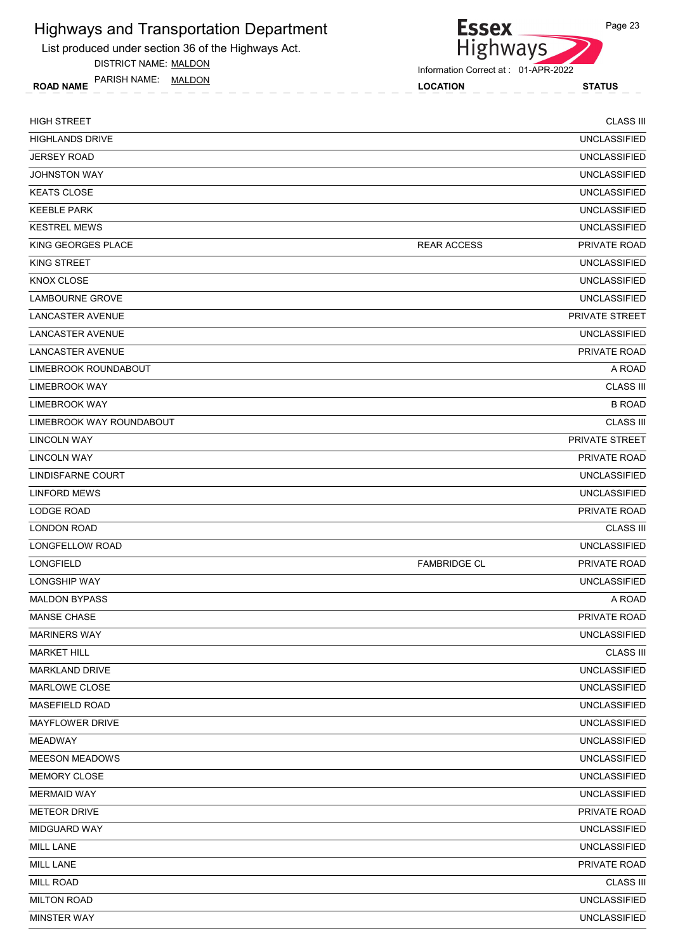List produced under section 36 of the Highways Act.

DISTRICT NAME: MALDON

ROAD NAME LOCATION STATUS PARISH NAME: MALDON



| <b>HIGH STREET</b>       |                     | <b>CLASS III</b>    |
|--------------------------|---------------------|---------------------|
| <b>HIGHLANDS DRIVE</b>   |                     | <b>UNCLASSIFIED</b> |
| <b>JERSEY ROAD</b>       |                     | <b>UNCLASSIFIED</b> |
| <b>JOHNSTON WAY</b>      |                     | <b>UNCLASSIFIED</b> |
| <b>KEATS CLOSE</b>       |                     | <b>UNCLASSIFIED</b> |
| <b>KEEBLE PARK</b>       |                     | <b>UNCLASSIFIED</b> |
| <b>KESTREL MEWS</b>      |                     | <b>UNCLASSIFIED</b> |
| KING GEORGES PLACE       | <b>REAR ACCESS</b>  | <b>PRIVATE ROAD</b> |
| KING STREET              |                     | <b>UNCLASSIFIED</b> |
| <b>KNOX CLOSE</b>        |                     | <b>UNCLASSIFIED</b> |
| <b>LAMBOURNE GROVE</b>   |                     | <b>UNCLASSIFIED</b> |
| <b>LANCASTER AVENUE</b>  |                     | PRIVATE STREET      |
| LANCASTER AVENUE         |                     | <b>UNCLASSIFIED</b> |
| LANCASTER AVENUE         |                     | <b>PRIVATE ROAD</b> |
| LIMEBROOK ROUNDABOUT     |                     | A ROAD              |
| LIMEBROOK WAY            |                     | <b>CLASS III</b>    |
| LIMEBROOK WAY            |                     | <b>B ROAD</b>       |
| LIMEBROOK WAY ROUNDABOUT |                     | <b>CLASS III</b>    |
| <b>LINCOLN WAY</b>       |                     | PRIVATE STREET      |
| <b>LINCOLN WAY</b>       |                     | PRIVATE ROAD        |
| LINDISFARNE COURT        |                     | <b>UNCLASSIFIED</b> |
| <b>LINFORD MEWS</b>      |                     | <b>UNCLASSIFIED</b> |
| LODGE ROAD               |                     | PRIVATE ROAD        |
| <b>LONDON ROAD</b>       |                     | <b>CLASS III</b>    |
| LONGFELLOW ROAD          |                     | <b>UNCLASSIFIED</b> |
| <b>LONGFIELD</b>         | <b>FAMBRIDGE CL</b> | <b>PRIVATE ROAD</b> |
| <b>LONGSHIP WAY</b>      |                     | <b>UNCLASSIFIED</b> |
| <b>MALDON BYPASS</b>     |                     | A ROAD              |
| <b>MANSE CHASE</b>       |                     | PRIVATE ROAD        |
| <b>MARINERS WAY</b>      |                     | <b>UNCLASSIFIED</b> |
| <b>MARKET HILL</b>       |                     | <b>CLASS III</b>    |
| <b>MARKLAND DRIVE</b>    |                     | <b>UNCLASSIFIED</b> |
| MARLOWE CLOSE            |                     | <b>UNCLASSIFIED</b> |
| <b>MASEFIELD ROAD</b>    |                     | <b>UNCLASSIFIED</b> |
| MAYFLOWER DRIVE          |                     | <b>UNCLASSIFIED</b> |
| <b>MEADWAY</b>           |                     | <b>UNCLASSIFIED</b> |
| MEESON MEADOWS           |                     | <b>UNCLASSIFIED</b> |
| MEMORY CLOSE             |                     | <b>UNCLASSIFIED</b> |
| <b>MERMAID WAY</b>       |                     | <b>UNCLASSIFIED</b> |
| <b>METEOR DRIVE</b>      |                     | PRIVATE ROAD        |
| MIDGUARD WAY             |                     | <b>UNCLASSIFIED</b> |
| MILL LANE                |                     | <b>UNCLASSIFIED</b> |
| MILL LANE                |                     | PRIVATE ROAD        |
| <b>MILL ROAD</b>         |                     | <b>CLASS III</b>    |
| <b>MILTON ROAD</b>       |                     | <b>UNCLASSIFIED</b> |
| MINSTER WAY              |                     | <b>UNCLASSIFIED</b> |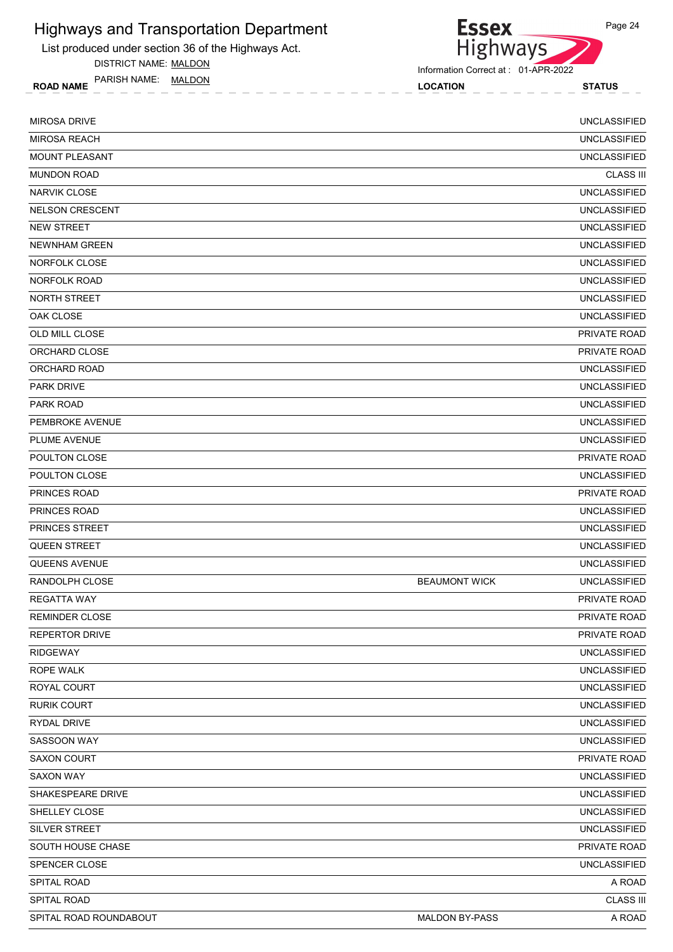List produced under section 36 of the Highways Act.

DISTRICT NAME: MALDON

ROAD NAME LOCATION STATUS PARISH NAME: MALDON



| <b>MIROSA DRIVE</b>      |                       | <b>UNCLASSIFIED</b> |
|--------------------------|-----------------------|---------------------|
| <b>MIROSA REACH</b>      |                       | <b>UNCLASSIFIED</b> |
| <b>MOUNT PLEASANT</b>    |                       | <b>UNCLASSIFIED</b> |
| <b>MUNDON ROAD</b>       |                       | <b>CLASS III</b>    |
| <b>NARVIK CLOSE</b>      |                       | <b>UNCLASSIFIED</b> |
| <b>NELSON CRESCENT</b>   |                       | <b>UNCLASSIFIED</b> |
| <b>NEW STREET</b>        |                       | <b>UNCLASSIFIED</b> |
| <b>NEWNHAM GREEN</b>     |                       | <b>UNCLASSIFIED</b> |
| NORFOLK CLOSE            |                       | <b>UNCLASSIFIED</b> |
| NORFOLK ROAD             |                       | <b>UNCLASSIFIED</b> |
| NORTH STREET             |                       | <b>UNCLASSIFIED</b> |
| OAK CLOSE                |                       | <b>UNCLASSIFIED</b> |
| OLD MILL CLOSE           |                       | PRIVATE ROAD        |
| ORCHARD CLOSE            |                       | PRIVATE ROAD        |
| ORCHARD ROAD             |                       | <b>UNCLASSIFIED</b> |
| <b>PARK DRIVE</b>        |                       | <b>UNCLASSIFIED</b> |
| PARK ROAD                |                       | <b>UNCLASSIFIED</b> |
| PEMBROKE AVENUE          |                       | <b>UNCLASSIFIED</b> |
| PLUME AVENUE             |                       | <b>UNCLASSIFIED</b> |
| POULTON CLOSE            |                       | PRIVATE ROAD        |
| POULTON CLOSE            |                       | <b>UNCLASSIFIED</b> |
| <b>PRINCES ROAD</b>      |                       | PRIVATE ROAD        |
| PRINCES ROAD             |                       | <b>UNCLASSIFIED</b> |
| <b>PRINCES STREET</b>    |                       | <b>UNCLASSIFIED</b> |
| <b>QUEEN STREET</b>      |                       | <b>UNCLASSIFIED</b> |
| <b>QUEENS AVENUE</b>     |                       | <b>UNCLASSIFIED</b> |
| RANDOLPH CLOSE           | <b>BEAUMONT WICK</b>  | <b>UNCLASSIFIED</b> |
| <b>REGATTA WAY</b>       |                       | <b>PRIVATE ROAD</b> |
| <b>REMINDER CLOSE</b>    |                       | <b>PRIVATE ROAD</b> |
| <b>REPERTOR DRIVE</b>    |                       | PRIVATE ROAD        |
| <b>RIDGEWAY</b>          |                       | <b>UNCLASSIFIED</b> |
| ROPE WALK                |                       | <b>UNCLASSIFIED</b> |
| ROYAL COURT              |                       | <b>UNCLASSIFIED</b> |
| <b>RURIK COURT</b>       |                       | <b>UNCLASSIFIED</b> |
| <b>RYDAL DRIVE</b>       |                       | <b>UNCLASSIFIED</b> |
| SASSOON WAY              |                       | <b>UNCLASSIFIED</b> |
| <b>SAXON COURT</b>       |                       | PRIVATE ROAD        |
| SAXON WAY                |                       | <b>UNCLASSIFIED</b> |
| <b>SHAKESPEARE DRIVE</b> |                       | <b>UNCLASSIFIED</b> |
| SHELLEY CLOSE            |                       | <b>UNCLASSIFIED</b> |
| SILVER STREET            |                       | <b>UNCLASSIFIED</b> |
| SOUTH HOUSE CHASE        |                       | PRIVATE ROAD        |
| SPENCER CLOSE            |                       | <b>UNCLASSIFIED</b> |
| SPITAL ROAD              |                       | A ROAD              |
| SPITAL ROAD              |                       | <b>CLASS III</b>    |
| SPITAL ROAD ROUNDABOUT   | <b>MALDON BY-PASS</b> | A ROAD              |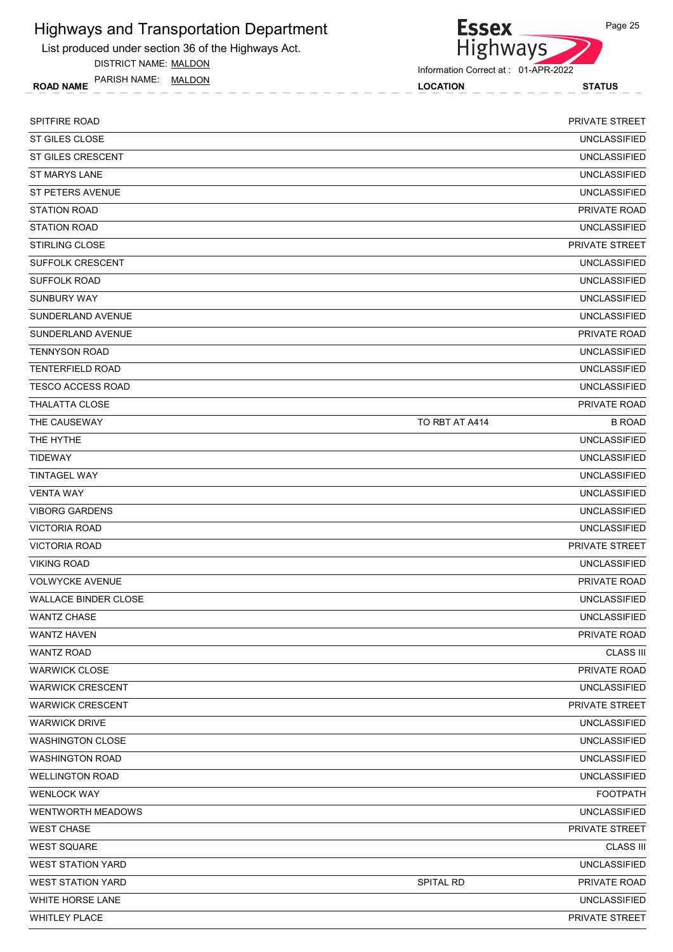List produced under section 36 of the Highways Act.

DISTRICT NAME: MALDON

ROAD NAME TANISH IVAIVIE. I<u>WALDON</u> NAME **ROAD NAME STATUS** PARISH NAME: MALDON



Information Correct at : 01-APR-2022

SPITFIRE ROAD PRIVATE STREET ST GILES CLOSE UNCLASSIFIED UNCLASSIFIED ST GILES CRESCENT UNCLASSIFIED ST MARYS LANE UNCLASSIFIED ST PETERS AVENUE UNCLASSIFIED STATION ROAD PRIVATE ROAD AND STATION ROAD AND STATION ROAD PRIVATE ROAD AND STATION ROAD PRIVATE ROAD AND STATION ROAD AND STATION ROAD AND STATION ROAD AND STATION ROAD AND STATION ROAD AND STATION ROAD AND STATION ROAD STATION ROAD UNCLASSIFIED STIRLING CLOSE PRIVATE STREET SUFFOLK CRESCENT UNCLASSIFIED SUFFOLK ROAD UNCLASSIFIED SUNBURY WAY UNCLASSIFIED SUNDERLAND AVENUE UNCLASSIFIED SUNDERLAND AVENUE TRANSMISSION CONTRACT AND A SUNDERLAND AVENUE TO A SUNDERLAND AVENUE TO A DESCRIPTION OF PRIVATE ROAD TENNYSON ROAD UNCLASSIFIED TENTERFIELD ROAD UNCLASSIFIED TESCO ACCESS ROAD UNCLASSIFIED THALATTA CLOSE PRIVATE ROAD THE CAUSEWAY TO RET AT A414 B ROAD B ROAD AND ROAD TO RET AT A414 THE HYTHE UNCLASSIFIED TIDEWAY UNCLASSIFIED TINTAGEL WAY UNCLASSIFIED VENTA WAY UNCLASSIFIED VIBORG GARDENS UNCLASSIFIED VICTORIA ROAD UNCLASSIFIED VICTORIA ROAD PRIVATE STREET VIKING ROAD UNCLASSIFIED VOLWYCKE AVENUE PRIVATE ROAD WALLACE BINDER CLOSE UNCLASSIFIED wantz chase which is a series of the control of the control of the control of the control of the control of the control of the control of the control of the control of the control of the control of the control of the contr wantz haven we have the state of the state of the state of the state of the state of the private road private  $\sim$  PRIVATE ROAD WANTZ ROAD CLASS III WARWICK CLOSE PRIVATE ROAD NATURAL CONSERVATION OF THE SERVICE OF THE SERVICE OF THE SERVICE OF THE SERVICE OF THE SERVICE OF THE SERVICE OF THE SERVICE OF THE SERVICE OF THE SERVICE OF THE SERVICE OF THE SERVICE OF THE SE WARWICK CRESCENT UNCLASSIFIED WARWICK CRESCENT **EXAMPLEMENT CONTROL** WARWICK DRIVE UNCLASSIFIED WASHINGTON CLOSE UNCLASSIFIED WASHINGTON ROAD UNCLASSIFIED WELLINGTON ROAD UNCLASSIFIED WENLOCK WAY FOOTPATH WENTWORTH MEADOWS **WENTWORTH MEADOWS UNCLASSIFIED** WEST CHASE PRIVATE STREET AND INTERNATIONAL STREET AND INTERNATIONAL STREET AND INTERNATIONAL STREET AND INTERNATIONAL STREET WEST SQUARE CLASS III AND A STREET SOLUTION OF THE STREET SQUARE CLASS III WEST STATION YARD UNCLASSIFIED WEST STATION YARD GENERAL RESERVE TO A SPITAL RD SPITAL RD PRIVATE ROAD PRIVATE ROAD WHITE HORSE LANE UNCLASSIFIED WHITLEY PLACE PRIVATE STREET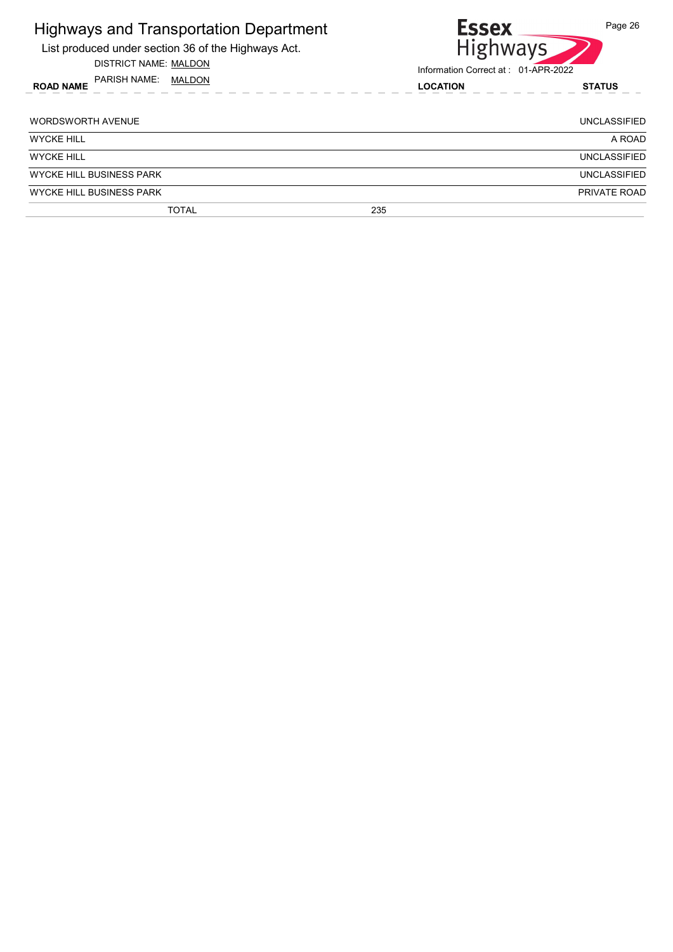| <b>Highways and Transportation Department</b><br>List produced under section 36 of the Highways Act.<br>DISTRICT NAME: MALDON | <b>Essex</b><br><b>Highways</b><br>Information Correct at: 01-APR-2022 | Page 26             |
|-------------------------------------------------------------------------------------------------------------------------------|------------------------------------------------------------------------|---------------------|
| PARISH NAME: MALDON<br><b>ROAD NAME</b>                                                                                       | <b>LOCATION</b>                                                        | <b>STATUS</b>       |
| <b>WORDSWORTH AVENUE</b>                                                                                                      |                                                                        | <b>UNCLASSIFIED</b> |
| <b>WYCKE HILL</b>                                                                                                             |                                                                        | A ROAD              |
| <b>WYCKE HILL</b>                                                                                                             |                                                                        | <b>UNCLASSIFIED</b> |
| <b>WYCKE HILL BUSINESS PARK</b>                                                                                               |                                                                        | <b>UNCLASSIFIED</b> |
| <b>WYCKE HILL BUSINESS PARK</b>                                                                                               |                                                                        | PRIVATE ROAD        |
| <b>TOTAL</b>                                                                                                                  | 235                                                                    |                     |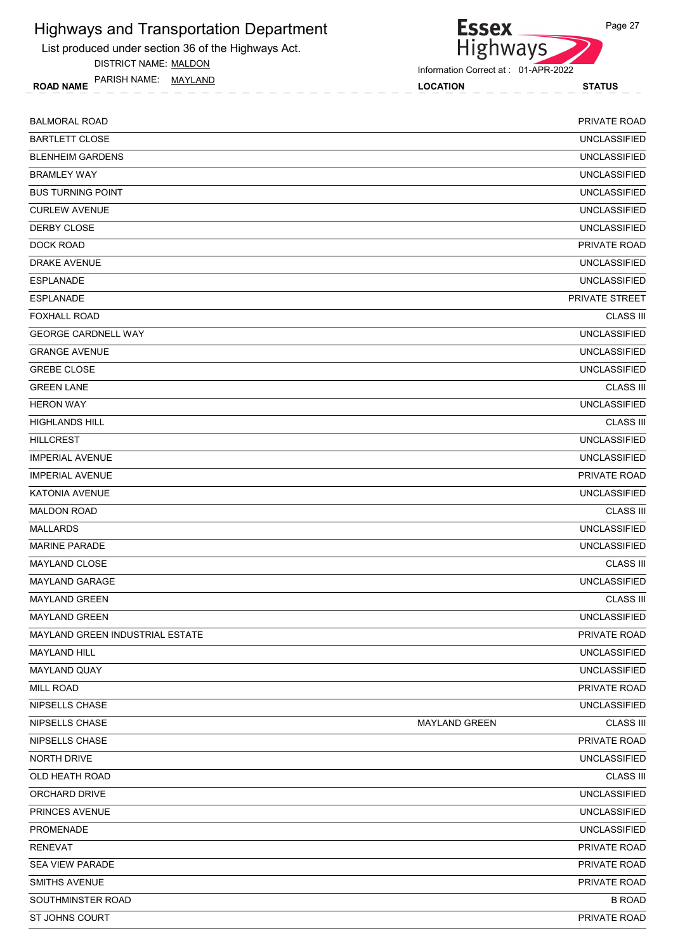List produced under section 36 of the Highways Act.

DISTRICT NAME: MALDON

ROAD NAME LOCATION STATUS PARISH NAME: MAYLAND

Highways

Information Correct at : 01-APR-2022

**Essex** 

| <b>BALMORAL ROAD</b>            |                      | PRIVATE ROAD        |
|---------------------------------|----------------------|---------------------|
| <b>BARTLETT CLOSE</b>           |                      | <b>UNCLASSIFIED</b> |
| <b>BLENHEIM GARDENS</b>         |                      | <b>UNCLASSIFIED</b> |
| <b>BRAMLEY WAY</b>              |                      | <b>UNCLASSIFIED</b> |
| <b>BUS TURNING POINT</b>        |                      | <b>UNCLASSIFIED</b> |
| <b>CURLEW AVENUE</b>            |                      | <b>UNCLASSIFIED</b> |
| DERBY CLOSE                     |                      | <b>UNCLASSIFIED</b> |
| <b>DOCK ROAD</b>                |                      | PRIVATE ROAD        |
| DRAKE AVENUE                    |                      | <b>UNCLASSIFIED</b> |
| <b>ESPLANADE</b>                |                      | <b>UNCLASSIFIED</b> |
| <b>ESPLANADE</b>                |                      | PRIVATE STREET      |
| <b>FOXHALL ROAD</b>             |                      | <b>CLASS III</b>    |
| <b>GEORGE CARDNELL WAY</b>      |                      | <b>UNCLASSIFIED</b> |
| <b>GRANGE AVENUE</b>            |                      | <b>UNCLASSIFIED</b> |
| <b>GREBE CLOSE</b>              |                      | <b>UNCLASSIFIED</b> |
| <b>GREEN LANE</b>               |                      | <b>CLASS III</b>    |
| <b>HERON WAY</b>                |                      | <b>UNCLASSIFIED</b> |
| <b>HIGHLANDS HILL</b>           |                      | <b>CLASS III</b>    |
| <b>HILLCREST</b>                |                      | <b>UNCLASSIFIED</b> |
| <b>IMPERIAL AVENUE</b>          |                      | <b>UNCLASSIFIED</b> |
| <b>IMPERIAL AVENUE</b>          |                      | PRIVATE ROAD        |
| <b>KATONIA AVENUE</b>           |                      | <b>UNCLASSIFIED</b> |
| <b>MALDON ROAD</b>              |                      | <b>CLASS III</b>    |
| <b>MALLARDS</b>                 |                      | <b>UNCLASSIFIED</b> |
| <b>MARINE PARADE</b>            |                      | <b>UNCLASSIFIED</b> |
| <b>MAYLAND CLOSE</b>            |                      | <b>CLASS III</b>    |
| <b>MAYLAND GARAGE</b>           |                      | <b>UNCLASSIFIED</b> |
| <b>MAYLAND GREEN</b>            |                      | <b>CLASS III</b>    |
| <b>MAYLAND GREEN</b>            |                      | <b>UNCLASSIFIED</b> |
| MAYLAND GREEN INDUSTRIAL ESTATE |                      | PRIVATE ROAD        |
| <b>MAYLAND HILL</b>             |                      | <b>UNCLASSIFIED</b> |
| <b>MAYLAND QUAY</b>             |                      | UNCLASSIFIED        |
| MILL ROAD                       |                      | PRIVATE ROAD        |
| NIPSELLS CHASE                  |                      | <b>UNCLASSIFIED</b> |
| NIPSELLS CHASE                  | <b>MAYLAND GREEN</b> | <b>CLASS III</b>    |
| NIPSELLS CHASE                  |                      | PRIVATE ROAD        |
| NORTH DRIVE                     |                      | <b>UNCLASSIFIED</b> |
| OLD HEATH ROAD                  |                      | <b>CLASS III</b>    |
| ORCHARD DRIVE                   |                      | <b>UNCLASSIFIED</b> |
| PRINCES AVENUE                  |                      | <b>UNCLASSIFIED</b> |
| PROMENADE                       |                      | <b>UNCLASSIFIED</b> |
| <b>RENEVAT</b>                  |                      | PRIVATE ROAD        |
| SEA VIEW PARADE                 |                      | PRIVATE ROAD        |
| <b>SMITHS AVENUE</b>            |                      | PRIVATE ROAD        |
| SOUTHMINSTER ROAD               |                      | <b>B ROAD</b>       |
| ST JOHNS COURT                  |                      | PRIVATE ROAD        |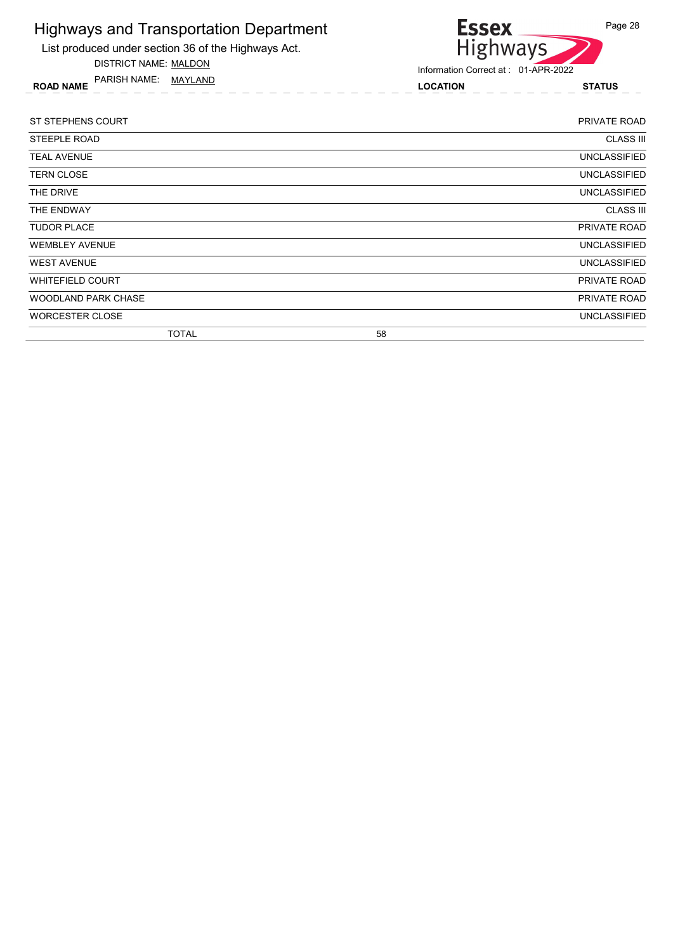| <b>Highways and Transportation Department</b><br>List produced under section 36 of the Highways Act.<br><b>DISTRICT NAME: MALDON</b> | <b>Essex</b><br><b>Highways</b>     | Page 28             |
|--------------------------------------------------------------------------------------------------------------------------------------|-------------------------------------|---------------------|
| PARISH NAME: MAYLAND                                                                                                                 | Information Correct at: 01-APR-2022 |                     |
| <b>ROAD NAME</b><br><u> 2020 - 2020 - 2020</u>                                                                                       | <b>LOCATION</b>                     | <b>STATUS</b>       |
|                                                                                                                                      |                                     |                     |
| ST STEPHENS COURT                                                                                                                    |                                     | <b>PRIVATE ROAD</b> |
| <b>STEEPLE ROAD</b>                                                                                                                  |                                     | <b>CLASS III</b>    |
| <b>TEAL AVENUE</b>                                                                                                                   |                                     | <b>UNCLASSIFIED</b> |
| <b>TERN CLOSE</b>                                                                                                                    |                                     | <b>UNCLASSIFIED</b> |
| THE DRIVE                                                                                                                            |                                     | <b>UNCLASSIFIED</b> |
| THE ENDWAY                                                                                                                           |                                     | <b>CLASS III</b>    |
| <b>TUDOR PLACE</b>                                                                                                                   |                                     | PRIVATE ROAD        |
| <b>WEMBLEY AVENUE</b>                                                                                                                |                                     | <b>UNCLASSIFIED</b> |
| <b>WEST AVENUE</b>                                                                                                                   |                                     | <b>UNCLASSIFIED</b> |
| <b>WHITEFIELD COURT</b>                                                                                                              |                                     | PRIVATE ROAD        |
| <b>WOODLAND PARK CHASE</b>                                                                                                           |                                     | PRIVATE ROAD        |
| <b>WORCESTER CLOSE</b>                                                                                                               |                                     | <b>UNCLASSIFIED</b> |

TOTAL 58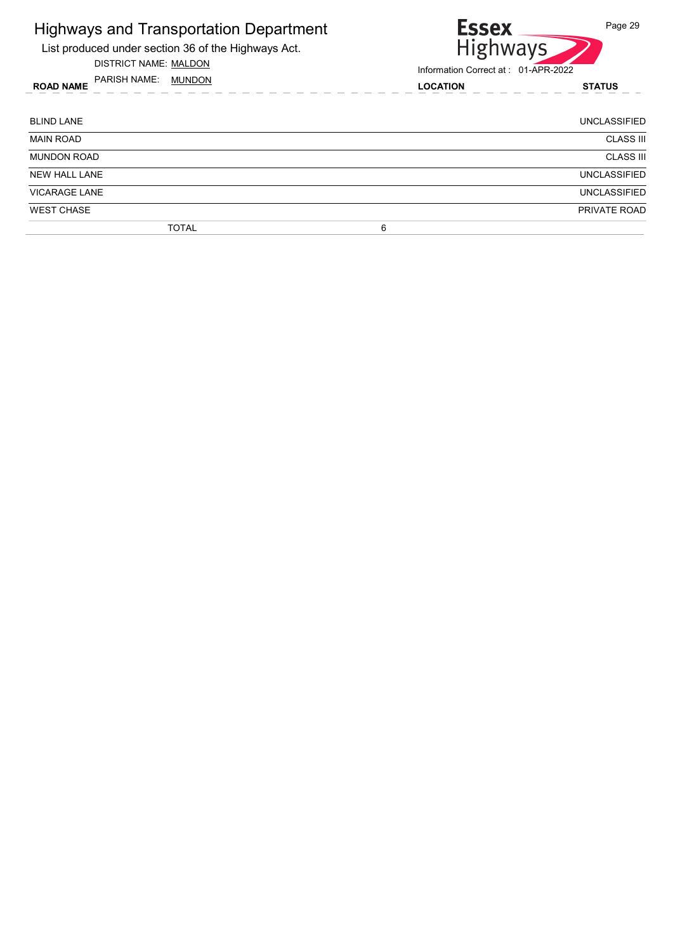| <b>Highways and Transportation Department</b><br>List produced under section 36 of the Highways Act.<br>DISTRICT NAME: MALDON | <b>Essex</b><br><b>Highways</b><br>Information Correct at: 01-APR-2022 | Page 29             |
|-------------------------------------------------------------------------------------------------------------------------------|------------------------------------------------------------------------|---------------------|
| PARISH NAME: MUNDON<br><b>ROAD NAME</b><br><u>a a a a a a a a</u> shekar                                                      | <b>LOCATION</b>                                                        | <b>STATUS</b>       |
| <b>BLIND LANE</b>                                                                                                             |                                                                        | <b>UNCLASSIFIED</b> |
| <b>MAIN ROAD</b>                                                                                                              |                                                                        | <b>CLASS III</b>    |
| <b>MUNDON ROAD</b>                                                                                                            |                                                                        | <b>CLASS III</b>    |
| <b>NEW HALL LANE</b>                                                                                                          |                                                                        | UNCLASSIFIED        |
| <b>VICARAGE LANE</b>                                                                                                          |                                                                        | UNCLASSIFIED        |
| <b>WEST CHASE</b>                                                                                                             |                                                                        | PRIVATE ROAD        |
| <b>TOTAL</b>                                                                                                                  | 6                                                                      |                     |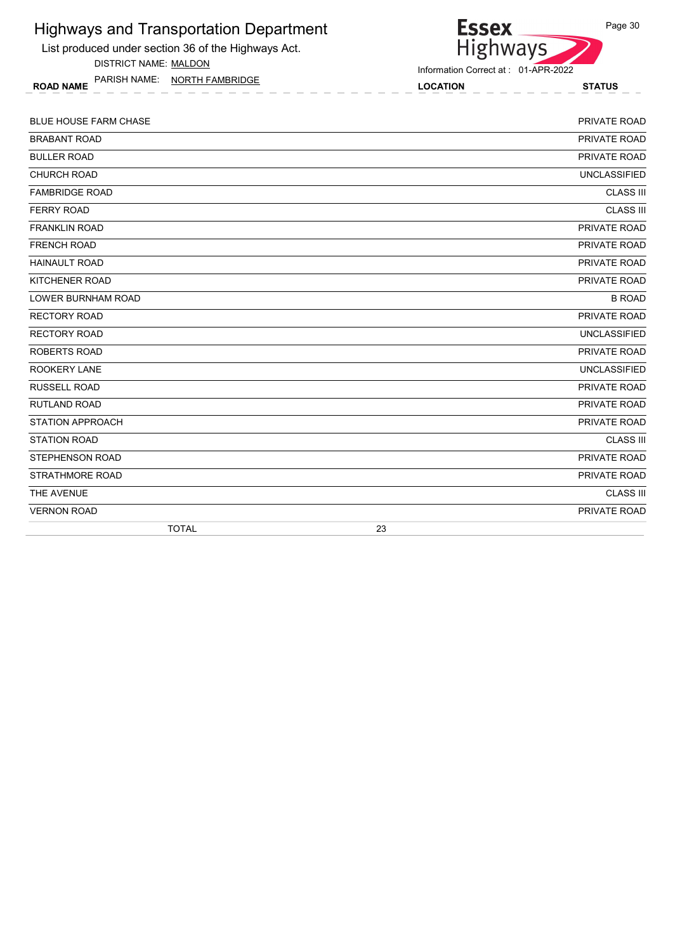List produced under section 36 of the Highways Act.

DISTRICT NAME: MALDON

ROAD NAME LOCATION STATUS PARISH NAME: NORTH FAMBRIDGE



| <b>BLUE HOUSE FARM CHASE</b> | PRIVATE ROAD        |
|------------------------------|---------------------|
| <b>BRABANT ROAD</b>          | PRIVATE ROAD        |
| <b>BULLER ROAD</b>           | PRIVATE ROAD        |
| <b>CHURCH ROAD</b>           | <b>UNCLASSIFIED</b> |
| <b>FAMBRIDGE ROAD</b>        | <b>CLASS III</b>    |
| <b>FERRY ROAD</b>            | <b>CLASS III</b>    |
| <b>FRANKLIN ROAD</b>         | PRIVATE ROAD        |
| <b>FRENCH ROAD</b>           | PRIVATE ROAD        |
| <b>HAINAULT ROAD</b>         | PRIVATE ROAD        |
| KITCHENER ROAD               | PRIVATE ROAD        |
| <b>LOWER BURNHAM ROAD</b>    | <b>B ROAD</b>       |
| <b>RECTORY ROAD</b>          | PRIVATE ROAD        |
| <b>RECTORY ROAD</b>          | <b>UNCLASSIFIED</b> |
| <b>ROBERTS ROAD</b>          | PRIVATE ROAD        |
| <b>ROOKERY LANE</b>          | <b>UNCLASSIFIED</b> |
| <b>RUSSELL ROAD</b>          | PRIVATE ROAD        |
| <b>RUTLAND ROAD</b>          | PRIVATE ROAD        |
| <b>STATION APPROACH</b>      | PRIVATE ROAD        |
| <b>STATION ROAD</b>          | <b>CLASS III</b>    |
| <b>STEPHENSON ROAD</b>       | PRIVATE ROAD        |
| <b>STRATHMORE ROAD</b>       | PRIVATE ROAD        |
| THE AVENUE                   | <b>CLASS III</b>    |
| <b>VERNON ROAD</b>           | PRIVATE ROAD        |
| <b>TOTAL</b>                 | 23                  |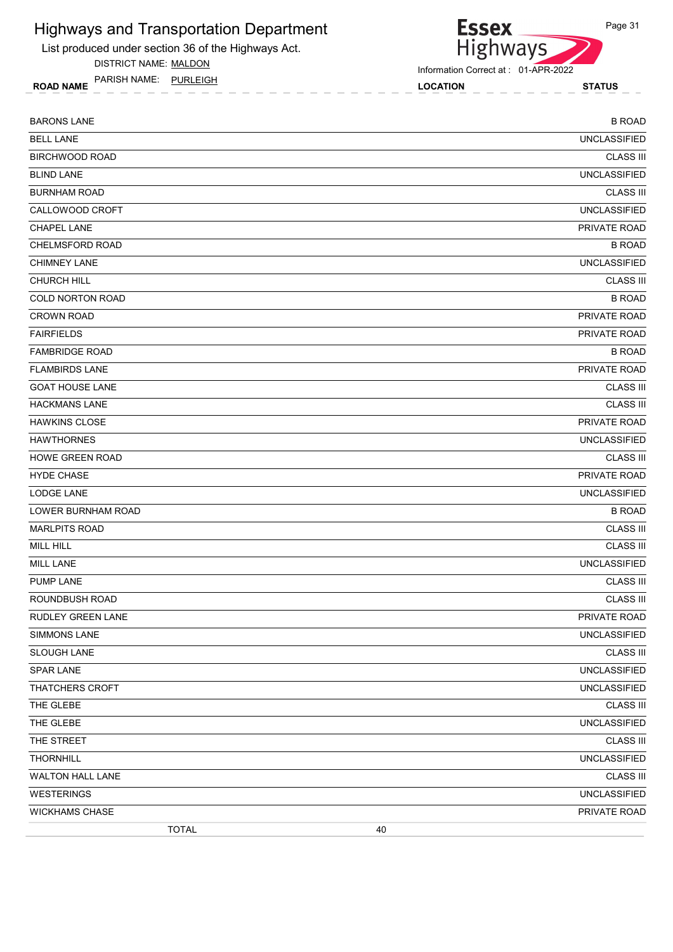List produced under section 36 of the Highways Act.

DISTRICT NAME: MALDON

ROAD NAME LOCATION STATUS PARISH NAME: PURLEIGH



| <b>BARONS LANE</b>      | <b>B ROAD</b>       |
|-------------------------|---------------------|
| <b>BELL LANE</b>        | <b>UNCLASSIFIED</b> |
| <b>BIRCHWOOD ROAD</b>   | <b>CLASS III</b>    |
| <b>BLIND LANE</b>       | <b>UNCLASSIFIED</b> |
| <b>BURNHAM ROAD</b>     | <b>CLASS III</b>    |
| CALLOWOOD CROFT         | <b>UNCLASSIFIED</b> |
| <b>CHAPEL LANE</b>      | PRIVATE ROAD        |
| CHELMSFORD ROAD         | <b>B ROAD</b>       |
| <b>CHIMNEY LANE</b>     | <b>UNCLASSIFIED</b> |
| <b>CHURCH HILL</b>      | <b>CLASS III</b>    |
| COLD NORTON ROAD        | <b>B ROAD</b>       |
| <b>CROWN ROAD</b>       | PRIVATE ROAD        |
| <b>FAIRFIELDS</b>       | PRIVATE ROAD        |
| <b>FAMBRIDGE ROAD</b>   | <b>B ROAD</b>       |
| <b>FLAMBIRDS LANE</b>   | PRIVATE ROAD        |
| <b>GOAT HOUSE LANE</b>  | <b>CLASS III</b>    |
| <b>HACKMANS LANE</b>    | <b>CLASS III</b>    |
| <b>HAWKINS CLOSE</b>    | PRIVATE ROAD        |
| <b>HAWTHORNES</b>       | <b>UNCLASSIFIED</b> |
| <b>HOWE GREEN ROAD</b>  | <b>CLASS III</b>    |
| <b>HYDE CHASE</b>       | PRIVATE ROAD        |
| <b>LODGE LANE</b>       | <b>UNCLASSIFIED</b> |
| LOWER BURNHAM ROAD      | <b>B ROAD</b>       |
| <b>MARLPITS ROAD</b>    | <b>CLASS III</b>    |
| MILL HILL               | <b>CLASS III</b>    |
| MILL LANE               | <b>UNCLASSIFIED</b> |
| <b>PUMP LANE</b>        | <b>CLASS III</b>    |
| ROUNDBUSH ROAD          | <b>CLASS III</b>    |
| RUDLEY GREEN LANE       | PRIVATE ROAD        |
| <b>SIMMONS LANE</b>     | <b>UNCLASSIFIED</b> |
| <b>SLOUGH LANE</b>      | <b>CLASS III</b>    |
| SPAR LANE               | <b>UNCLASSIFIED</b> |
| <b>THATCHERS CROFT</b>  | <b>UNCLASSIFIED</b> |
| THE GLEBE               | <b>CLASS III</b>    |
| THE GLEBE               | <b>UNCLASSIFIED</b> |
| THE STREET              | <b>CLASS III</b>    |
| <b>THORNHILL</b>        | <b>UNCLASSIFIED</b> |
| <b>WALTON HALL LANE</b> | <b>CLASS III</b>    |
| <b>WESTERINGS</b>       | <b>UNCLASSIFIED</b> |
| <b>WICKHAMS CHASE</b>   | PRIVATE ROAD        |
| <b>TOTAL</b>            | 40                  |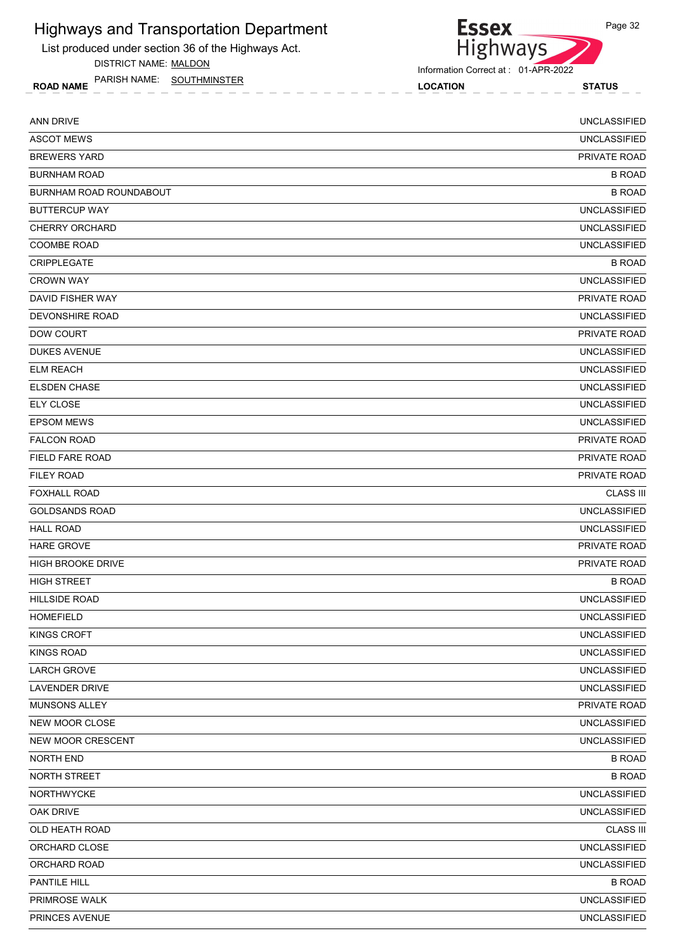List produced under section 36 of the Highways Act.

DISTRICT NAME: MALDON

ROAD NAME LOCATION STATUS PARISH NAME: SOUTHMINSTER

Essex<br>Highways

Information Correct at : 01-APR-2022

| <b>ANN DRIVE</b>         | <b>UNCLASSIFIED</b> |
|--------------------------|---------------------|
| <b>ASCOT MEWS</b>        | <b>UNCLASSIFIED</b> |
| <b>BREWERS YARD</b>      | PRIVATE ROAD        |
| <b>BURNHAM ROAD</b>      | <b>B ROAD</b>       |
| BURNHAM ROAD ROUNDABOUT  | <b>B ROAD</b>       |
| <b>BUTTERCUP WAY</b>     | <b>UNCLASSIFIED</b> |
| <b>CHERRY ORCHARD</b>    | <b>UNCLASSIFIED</b> |
| <b>COOMBE ROAD</b>       | <b>UNCLASSIFIED</b> |
| <b>CRIPPLEGATE</b>       | <b>B ROAD</b>       |
| <b>CROWN WAY</b>         | <b>UNCLASSIFIED</b> |
| DAVID FISHER WAY         | PRIVATE ROAD        |
| DEVONSHIRE ROAD          | <b>UNCLASSIFIED</b> |
| DOW COURT                | PRIVATE ROAD        |
| <b>DUKES AVENUE</b>      | <b>UNCLASSIFIED</b> |
| <b>ELM REACH</b>         | <b>UNCLASSIFIED</b> |
| <b>ELSDEN CHASE</b>      | <b>UNCLASSIFIED</b> |
| <b>ELY CLOSE</b>         | <b>UNCLASSIFIED</b> |
| <b>EPSOM MEWS</b>        | <b>UNCLASSIFIED</b> |
| <b>FALCON ROAD</b>       | PRIVATE ROAD        |
| FIELD FARE ROAD          | PRIVATE ROAD        |
| <b>FILEY ROAD</b>        | PRIVATE ROAD        |
| <b>FOXHALL ROAD</b>      | <b>CLASS III</b>    |
| <b>GOLDSANDS ROAD</b>    | <b>UNCLASSIFIED</b> |
| <b>HALL ROAD</b>         | <b>UNCLASSIFIED</b> |
| <b>HARE GROVE</b>        | PRIVATE ROAD        |
| <b>HIGH BROOKE DRIVE</b> | PRIVATE ROAD        |
| <b>HIGH STREET</b>       | <b>B ROAD</b>       |
| <b>HILLSIDE ROAD</b>     | <b>UNCLASSIFIED</b> |
| <b>HOMEFIELD</b>         | <b>UNCLASSIFIED</b> |
| <b>KINGS CROFT</b>       | <b>UNCLASSIFIED</b> |
| <b>KINGS ROAD</b>        | <b>UNCLASSIFIED</b> |
| <b>LARCH GROVE</b>       | <b>UNCLASSIFIED</b> |
| <b>LAVENDER DRIVE</b>    | <b>UNCLASSIFIED</b> |
| MUNSONS ALLEY            | PRIVATE ROAD        |
| <b>NEW MOOR CLOSE</b>    | <b>UNCLASSIFIED</b> |
| <b>NEW MOOR CRESCENT</b> | <b>UNCLASSIFIED</b> |
| <b>NORTH END</b>         | <b>B ROAD</b>       |
| <b>NORTH STREET</b>      | <b>B ROAD</b>       |
| <b>NORTHWYCKE</b>        | <b>UNCLASSIFIED</b> |
| OAK DRIVE                | <b>UNCLASSIFIED</b> |
| OLD HEATH ROAD           | <b>CLASS III</b>    |
| ORCHARD CLOSE            | <b>UNCLASSIFIED</b> |
| ORCHARD ROAD             | <b>UNCLASSIFIED</b> |
| PANTILE HILL             | <b>B ROAD</b>       |
| PRIMROSE WALK            | <b>UNCLASSIFIED</b> |
| PRINCES AVENUE           | <b>UNCLASSIFIED</b> |
|                          |                     |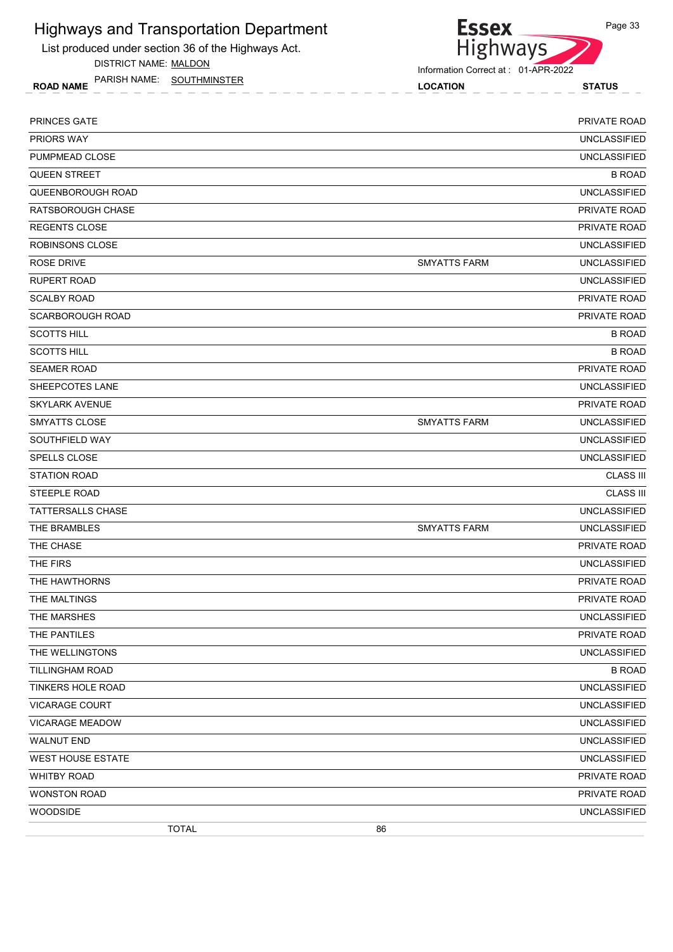List produced under section 36 of the Highways Act.

DISTRICT NAME: MALDON

ROAD NAME LOCATION STATUS PARISH NAME: SOUTHMINSTER



Information Correct at : 01-APR-2022

| <b>PRINCES GATE</b>      |                     | PRIVATE ROAD        |
|--------------------------|---------------------|---------------------|
| <b>PRIORS WAY</b>        |                     | <b>UNCLASSIFIED</b> |
| PUMPMEAD CLOSE           |                     | <b>UNCLASSIFIED</b> |
| <b>QUEEN STREET</b>      |                     | <b>B ROAD</b>       |
| QUEENBOROUGH ROAD        |                     | <b>UNCLASSIFIED</b> |
| RATSBOROUGH CHASE        |                     | PRIVATE ROAD        |
| <b>REGENTS CLOSE</b>     |                     | PRIVATE ROAD        |
| ROBINSONS CLOSE          |                     | <b>UNCLASSIFIED</b> |
| ROSE DRIVE               | <b>SMYATTS FARM</b> | <b>UNCLASSIFIED</b> |
| <b>RUPERT ROAD</b>       |                     | <b>UNCLASSIFIED</b> |
| <b>SCALBY ROAD</b>       |                     | PRIVATE ROAD        |
| <b>SCARBOROUGH ROAD</b>  |                     | PRIVATE ROAD        |
| <b>SCOTTS HILL</b>       |                     | <b>B ROAD</b>       |
| <b>SCOTTS HILL</b>       |                     | <b>B ROAD</b>       |
| <b>SEAMER ROAD</b>       |                     | PRIVATE ROAD        |
| SHEEPCOTES LANE          |                     | <b>UNCLASSIFIED</b> |
| <b>SKYLARK AVENUE</b>    |                     | PRIVATE ROAD        |
| SMYATTS CLOSE            | <b>SMYATTS FARM</b> | <b>UNCLASSIFIED</b> |
| SOUTHFIELD WAY           |                     | <b>UNCLASSIFIED</b> |
| <b>SPELLS CLOSE</b>      |                     | <b>UNCLASSIFIED</b> |
| <b>STATION ROAD</b>      |                     | <b>CLASS III</b>    |
| <b>STEEPLE ROAD</b>      |                     | <b>CLASS III</b>    |
| <b>TATTERSALLS CHASE</b> |                     | <b>UNCLASSIFIED</b> |
| THE BRAMBLES             | <b>SMYATTS FARM</b> | <b>UNCLASSIFIED</b> |
| THE CHASE                |                     | PRIVATE ROAD        |
| THE FIRS                 |                     | <b>UNCLASSIFIED</b> |
| THE HAWTHORNS            |                     | PRIVATE ROAD        |
| THE MALTINGS             |                     | PRIVATE ROAD        |
| THE MARSHES              |                     | <b>UNCLASSIFIED</b> |
| THE PANTILES             |                     | PRIVATE ROAD        |
| THE WELLINGTONS          |                     | <b>UNCLASSIFIED</b> |
| <b>TILLINGHAM ROAD</b>   |                     | <b>B ROAD</b>       |
| <b>TINKERS HOLE ROAD</b> |                     | <b>UNCLASSIFIED</b> |
| <b>VICARAGE COURT</b>    |                     | <b>UNCLASSIFIED</b> |
| VICARAGE MEADOW          |                     | <b>UNCLASSIFIED</b> |
| <b>WALNUT END</b>        |                     | <b>UNCLASSIFIED</b> |
| WEST HOUSE ESTATE        |                     | <b>UNCLASSIFIED</b> |
| <b>WHITBY ROAD</b>       |                     | PRIVATE ROAD        |
| <b>WONSTON ROAD</b>      |                     | PRIVATE ROAD        |
| <b>WOODSIDE</b>          |                     | <b>UNCLASSIFIED</b> |
| <b>TOTAL</b>             | 86                  |                     |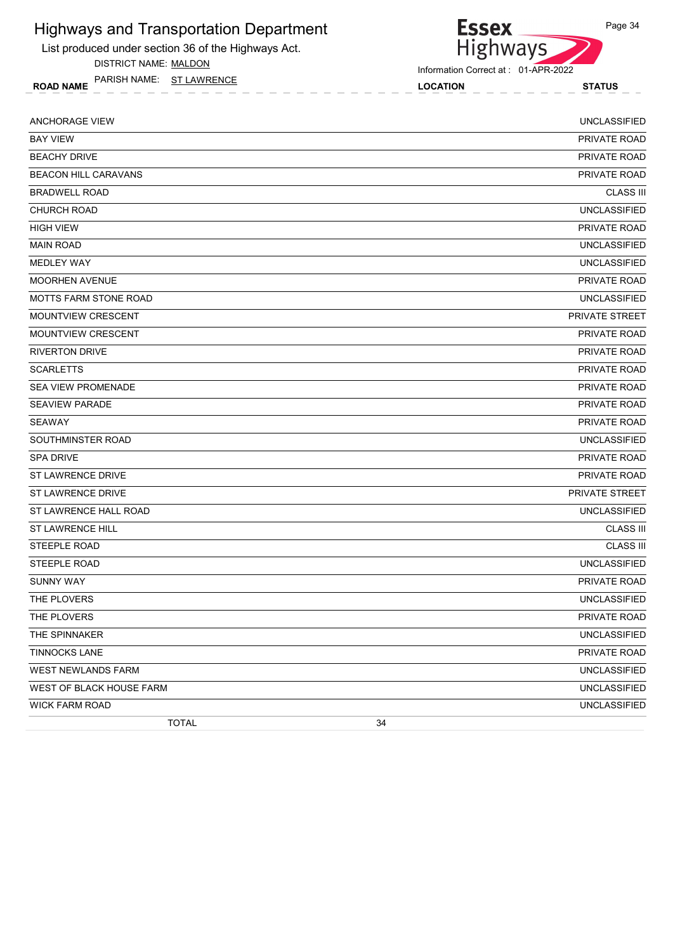List produced under section 36 of the Highways Act.

DISTRICT NAME: MALDON

ROAD NAME LOCATION STATUS PARISH NAME: ST LAWRENCE



| <b>ANCHORAGE VIEW</b>           | <b>UNCLASSIFIED</b> |
|---------------------------------|---------------------|
| <b>BAY VIEW</b>                 | PRIVATE ROAD        |
| <b>BEACHY DRIVE</b>             | <b>PRIVATE ROAD</b> |
| <b>BEACON HILL CARAVANS</b>     | PRIVATE ROAD        |
| <b>BRADWELL ROAD</b>            | <b>CLASS III</b>    |
| <b>CHURCH ROAD</b>              | <b>UNCLASSIFIED</b> |
| <b>HIGH VIEW</b>                | PRIVATE ROAD        |
| <b>MAIN ROAD</b>                | <b>UNCLASSIFIED</b> |
| <b>MEDLEY WAY</b>               | <b>UNCLASSIFIED</b> |
| <b>MOORHEN AVENUE</b>           | <b>PRIVATE ROAD</b> |
| <b>MOTTS FARM STONE ROAD</b>    | <b>UNCLASSIFIED</b> |
| MOUNTVIEW CRESCENT              | PRIVATE STREET      |
| MOUNTVIEW CRESCENT              | PRIVATE ROAD        |
| <b>RIVERTON DRIVE</b>           | PRIVATE ROAD        |
| <b>SCARLETTS</b>                | <b>PRIVATE ROAD</b> |
| <b>SEA VIEW PROMENADE</b>       | PRIVATE ROAD        |
| <b>SEAVIEW PARADE</b>           | PRIVATE ROAD        |
| <b>SEAWAY</b>                   | PRIVATE ROAD        |
| SOUTHMINSTER ROAD               | <b>UNCLASSIFIED</b> |
| <b>SPA DRIVE</b>                | PRIVATE ROAD        |
| <b>ST LAWRENCE DRIVE</b>        | <b>PRIVATE ROAD</b> |
| ST LAWRENCE DRIVE               | PRIVATE STREET      |
| ST LAWRENCE HALL ROAD           | <b>UNCLASSIFIED</b> |
| ST LAWRENCE HILL                | <b>CLASS III</b>    |
| <b>STEEPLE ROAD</b>             | <b>CLASS III</b>    |
| STEEPLE ROAD                    | <b>UNCLASSIFIED</b> |
| <b>SUNNY WAY</b>                | PRIVATE ROAD        |
| THE PLOVERS                     | <b>UNCLASSIFIED</b> |
| THE PLOVERS                     | PRIVATE ROAD        |
| THE SPINNAKER                   | <b>UNCLASSIFIED</b> |
| <b>TINNOCKS LANE</b>            | PRIVATE ROAD        |
| WEST NEWLANDS FARM              | <b>UNCLASSIFIED</b> |
| <b>WEST OF BLACK HOUSE FARM</b> | <b>UNCLASSIFIED</b> |
| <b>WICK FARM ROAD</b>           | <b>UNCLASSIFIED</b> |
| <b>TOTAL</b>                    | 34                  |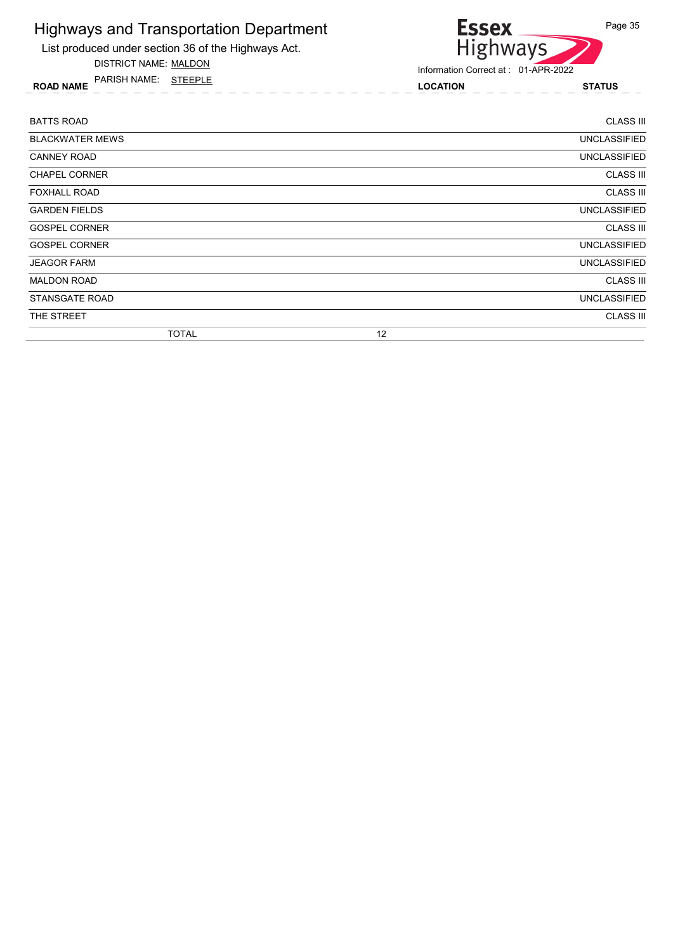List produced under section 36 of the Highways Act.

DISTRICT NAME: MALDON

ROAD NAME LOCATION STATUS PARISH NAME: STEEPLE



| <b>BATTS ROAD</b>      |    | <b>CLASS III</b>    |
|------------------------|----|---------------------|
| <b>BLACKWATER MEWS</b> |    | <b>UNCLASSIFIED</b> |
| <b>CANNEY ROAD</b>     |    | UNCLASSIFIED        |
| <b>CHAPEL CORNER</b>   |    | <b>CLASS III</b>    |
| <b>FOXHALL ROAD</b>    |    | <b>CLASS III</b>    |
| <b>GARDEN FIELDS</b>   |    | UNCLASSIFIED        |
| <b>GOSPEL CORNER</b>   |    | <b>CLASS III</b>    |
| <b>GOSPEL CORNER</b>   |    | UNCLASSIFIED        |
| <b>JEAGOR FARM</b>     |    | <b>UNCLASSIFIED</b> |
| <b>MALDON ROAD</b>     |    | <b>CLASS III</b>    |
| <b>STANSGATE ROAD</b>  |    | <b>UNCLASSIFIED</b> |
| THE STREET             |    | <b>CLASS III</b>    |
| <b>TOTAL</b>           | 12 |                     |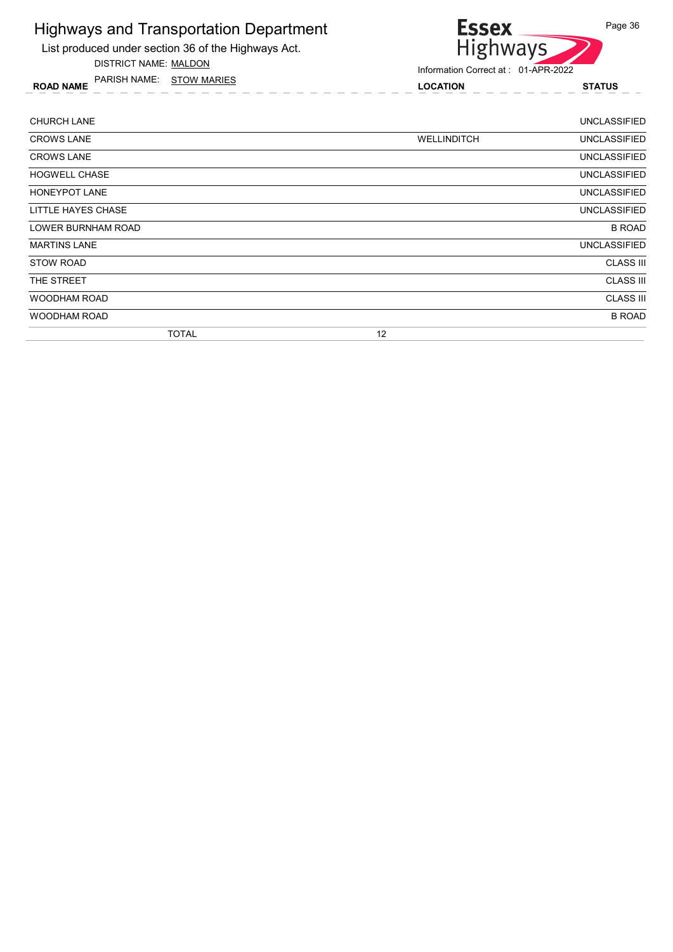List produced under section 36 of the Highways Act.

DISTRICT NAME: MALDON

ROAD NAME LOCATION STATUS PARISH NAME: STOW MARIES



| <b>CHURCH LANE</b>   |                    | <b>UNCLASSIFIED</b> |
|----------------------|--------------------|---------------------|
| <b>CROWS LANE</b>    | <b>WELLINDITCH</b> | <b>UNCLASSIFIED</b> |
| <b>CROWS LANE</b>    |                    | <b>UNCLASSIFIED</b> |
| <b>HOGWELL CHASE</b> |                    | <b>UNCLASSIFIED</b> |
| <b>HONEYPOT LANE</b> |                    | UNCLASSIFIED        |
| LITTLE HAYES CHASE   |                    | <b>UNCLASSIFIED</b> |
| LOWER BURNHAM ROAD   |                    | <b>B ROAD</b>       |
| <b>MARTINS LANE</b>  |                    | <b>UNCLASSIFIED</b> |
| <b>STOW ROAD</b>     |                    | <b>CLASS III</b>    |
| THE STREET           |                    | <b>CLASS III</b>    |
| <b>WOODHAM ROAD</b>  |                    | <b>CLASS III</b>    |
| WOODHAM ROAD         |                    | <b>B ROAD</b>       |
| <b>TOTAL</b>         | 12                 |                     |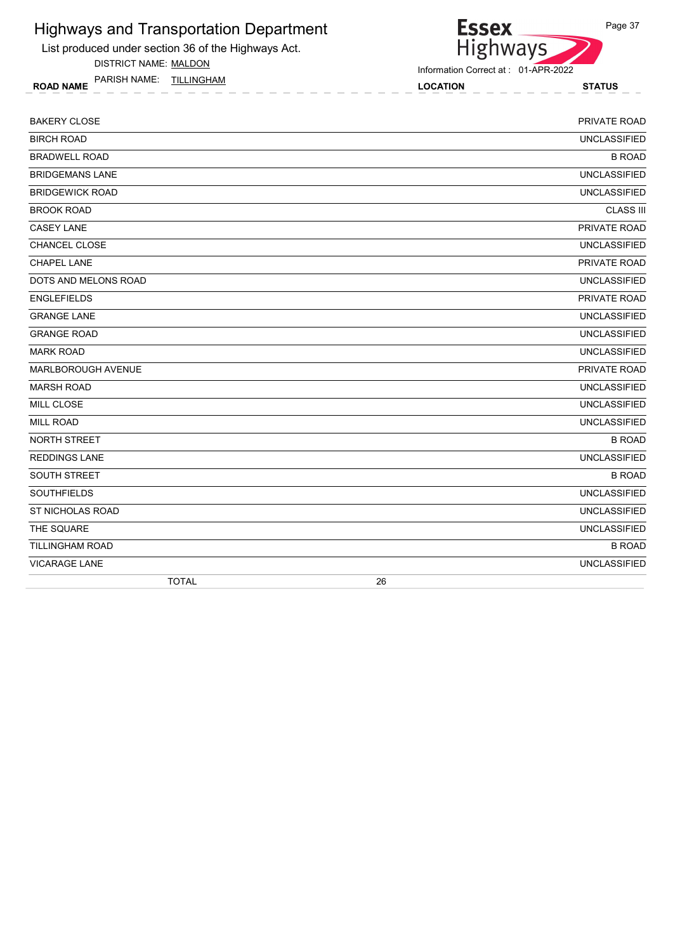List produced under section 36 of the Highways Act.

DISTRICT NAME: MALDON

ROAD NAME LOCATION STATUS PARISH NAME: TILLINGHAM



| <b>BAKERY CLOSE</b>    | PRIVATE ROAD        |
|------------------------|---------------------|
| <b>BIRCH ROAD</b>      | <b>UNCLASSIFIED</b> |
| <b>BRADWELL ROAD</b>   | <b>B ROAD</b>       |
| <b>BRIDGEMANS LANE</b> | <b>UNCLASSIFIED</b> |
| <b>BRIDGEWICK ROAD</b> | <b>UNCLASSIFIED</b> |
| <b>BROOK ROAD</b>      | <b>CLASS III</b>    |
| <b>CASEY LANE</b>      | PRIVATE ROAD        |
| CHANCEL CLOSE          | <b>UNCLASSIFIED</b> |
| <b>CHAPEL LANE</b>     | PRIVATE ROAD        |
| DOTS AND MELONS ROAD   | <b>UNCLASSIFIED</b> |
| <b>ENGLEFIELDS</b>     | PRIVATE ROAD        |
| <b>GRANGE LANE</b>     | <b>UNCLASSIFIED</b> |
| <b>GRANGE ROAD</b>     | <b>UNCLASSIFIED</b> |
| <b>MARK ROAD</b>       | <b>UNCLASSIFIED</b> |
| MARLBOROUGH AVENUE     | PRIVATE ROAD        |
| <b>MARSH ROAD</b>      | <b>UNCLASSIFIED</b> |
| <b>MILL CLOSE</b>      | <b>UNCLASSIFIED</b> |
| <b>MILL ROAD</b>       | <b>UNCLASSIFIED</b> |
| NORTH STREET           | <b>B ROAD</b>       |
| <b>REDDINGS LANE</b>   | <b>UNCLASSIFIED</b> |
| SOUTH STREET           | <b>B ROAD</b>       |
| <b>SOUTHFIELDS</b>     | <b>UNCLASSIFIED</b> |
| ST NICHOLAS ROAD       | <b>UNCLASSIFIED</b> |
| THE SQUARE             | <b>UNCLASSIFIED</b> |
| <b>TILLINGHAM ROAD</b> | <b>B ROAD</b>       |
| <b>VICARAGE LANE</b>   | <b>UNCLASSIFIED</b> |
| <b>TOTAL</b>           | 26                  |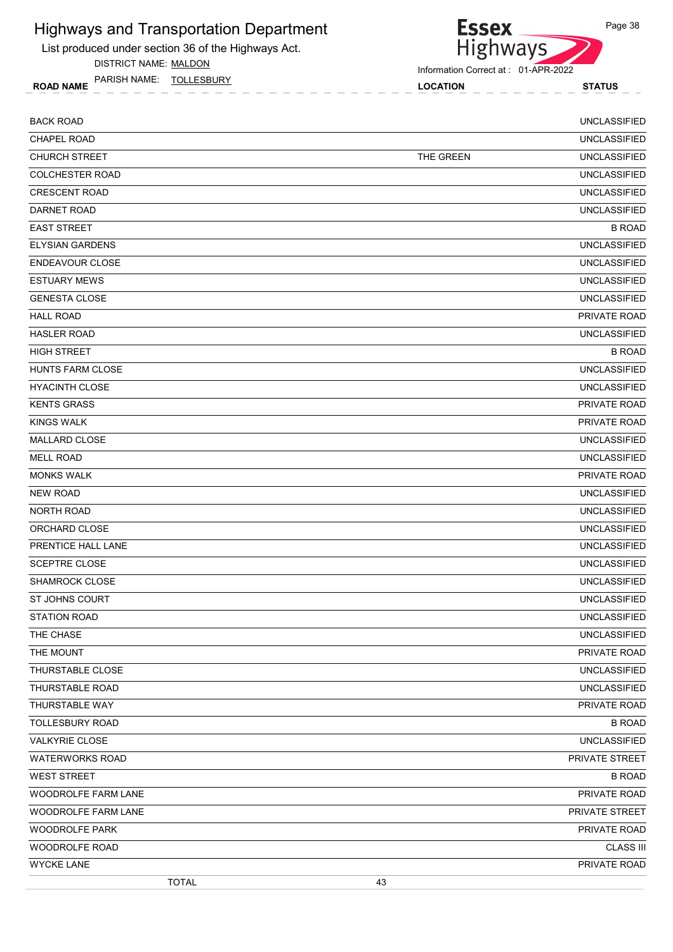List produced under section 36 of the Highways Act.

DISTRICT NAME: MALDON

ROAD NAME LOCATION STATUS PARISH NAME: TOLLESBURY



Information Correct at : 01-APR-2022

**Essex** 

| <b>BACK ROAD</b>        |           | <b>UNCLASSIFIED</b> |
|-------------------------|-----------|---------------------|
| <b>CHAPEL ROAD</b>      |           | <b>UNCLASSIFIED</b> |
| <b>CHURCH STREET</b>    | THE GREEN | <b>UNCLASSIFIED</b> |
| <b>COLCHESTER ROAD</b>  |           | <b>UNCLASSIFIED</b> |
| <b>CRESCENT ROAD</b>    |           | <b>UNCLASSIFIED</b> |
| DARNET ROAD             |           | <b>UNCLASSIFIED</b> |
| <b>EAST STREET</b>      |           | <b>B ROAD</b>       |
| <b>ELYSIAN GARDENS</b>  |           | <b>UNCLASSIFIED</b> |
| <b>ENDEAVOUR CLOSE</b>  |           | <b>UNCLASSIFIED</b> |
| <b>ESTUARY MEWS</b>     |           | <b>UNCLASSIFIED</b> |
| <b>GENESTA CLOSE</b>    |           | <b>UNCLASSIFIED</b> |
| <b>HALL ROAD</b>        |           | PRIVATE ROAD        |
| <b>HASLER ROAD</b>      |           | <b>UNCLASSIFIED</b> |
| <b>HIGH STREET</b>      |           | <b>B ROAD</b>       |
| <b>HUNTS FARM CLOSE</b> |           | <b>UNCLASSIFIED</b> |
| <b>HYACINTH CLOSE</b>   |           | <b>UNCLASSIFIED</b> |
| <b>KENTS GRASS</b>      |           | PRIVATE ROAD        |
| <b>KINGS WALK</b>       |           | <b>PRIVATE ROAD</b> |
| <b>MALLARD CLOSE</b>    |           | <b>UNCLASSIFIED</b> |
| <b>MELL ROAD</b>        |           | <b>UNCLASSIFIED</b> |
| <b>MONKS WALK</b>       |           | <b>PRIVATE ROAD</b> |
| <b>NEW ROAD</b>         |           | <b>UNCLASSIFIED</b> |
| <b>NORTH ROAD</b>       |           | <b>UNCLASSIFIED</b> |
| ORCHARD CLOSE           |           | <b>UNCLASSIFIED</b> |
| PRENTICE HALL LANE      |           | <b>UNCLASSIFIED</b> |
| <b>SCEPTRE CLOSE</b>    |           | <b>UNCLASSIFIED</b> |
| SHAMROCK CLOSE          |           | <b>UNCLASSIFIED</b> |
| <b>ST JOHNS COURT</b>   |           | <b>UNCLASSIFIED</b> |
| <b>STATION ROAD</b>     |           | <b>UNCLASSIFIED</b> |
| THE CHASE               |           | <b>UNCLASSIFIED</b> |
| THE MOUNT               |           | PRIVATE ROAD        |
| THURSTABLE CLOSE        |           | <b>UNCLASSIFIED</b> |
| THURSTABLE ROAD         |           | <b>UNCLASSIFIED</b> |
| THURSTABLE WAY          |           | PRIVATE ROAD        |
| <b>TOLLESBURY ROAD</b>  |           | <b>B ROAD</b>       |
| <b>VALKYRIE CLOSE</b>   |           | <b>UNCLASSIFIED</b> |
| <b>WATERWORKS ROAD</b>  |           | PRIVATE STREET      |
| <b>WEST STREET</b>      |           | <b>B ROAD</b>       |
| WOODROLFE FARM LANE     |           | PRIVATE ROAD        |
| WOODROLFE FARM LANE     |           | PRIVATE STREET      |
| <b>WOODROLFE PARK</b>   |           | PRIVATE ROAD        |
| WOODROLFE ROAD          |           | <b>CLASS III</b>    |
| <b>WYCKE LANE</b>       |           | PRIVATE ROAD        |
| <b>TOTAL</b>            | 43        |                     |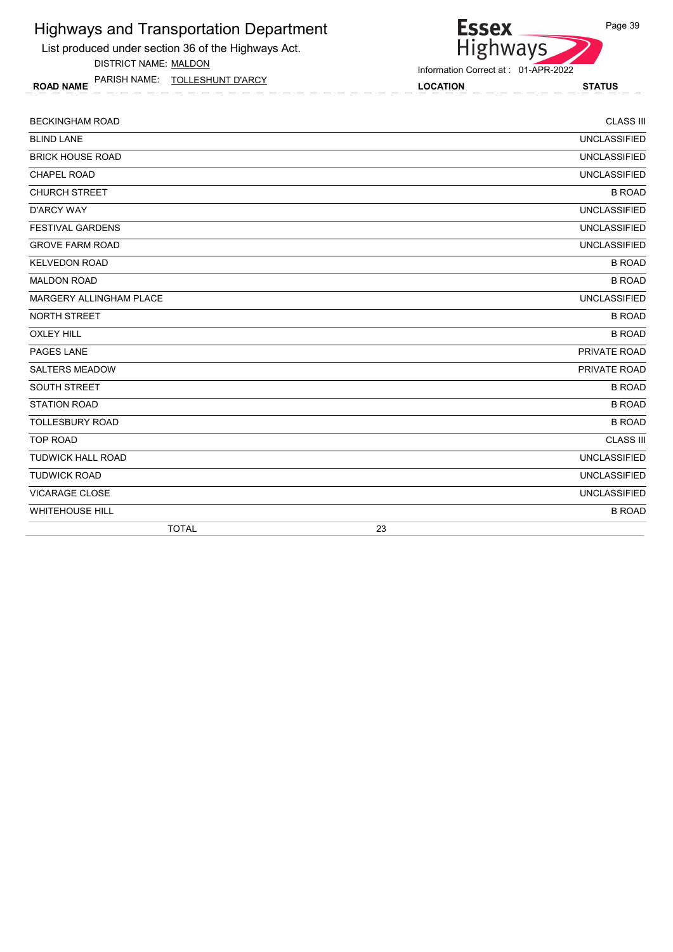List produced under section 36 of the Highways Act.

DISTRICT NAME: MALDON

ROAD NAME LOCATION STATUS PARISH NAME: TOLLESHUNT D'ARCY

# Essex<br>Highways

Information Correct at : 01-APR-2022

| <b>TOTAL</b>            | 23                  |
|-------------------------|---------------------|
| <b>WHITEHOUSE HILL</b>  | <b>B ROAD</b>       |
| VICARAGE CLOSE          | <b>UNCLASSIFIED</b> |
| <b>TUDWICK ROAD</b>     | <b>UNCLASSIFIED</b> |
| TUDWICK HALL ROAD       | <b>UNCLASSIFIED</b> |
| <b>TOP ROAD</b>         | <b>CLASS III</b>    |
| <b>TOLLESBURY ROAD</b>  | <b>B ROAD</b>       |
| <b>STATION ROAD</b>     | <b>B ROAD</b>       |
| SOUTH STREET            | <b>B ROAD</b>       |
| <b>SALTERS MEADOW</b>   | PRIVATE ROAD        |
| PAGES LANE              | PRIVATE ROAD        |
| <b>OXLEY HILL</b>       | <b>B ROAD</b>       |
| <b>NORTH STREET</b>     | <b>B ROAD</b>       |
| MARGERY ALLINGHAM PLACE | <b>UNCLASSIFIED</b> |
| <b>MALDON ROAD</b>      | <b>B ROAD</b>       |
| <b>KELVEDON ROAD</b>    | <b>B ROAD</b>       |
| <b>GROVE FARM ROAD</b>  | <b>UNCLASSIFIED</b> |
| <b>FESTIVAL GARDENS</b> | <b>UNCLASSIFIED</b> |
| <b>D'ARCY WAY</b>       | <b>UNCLASSIFIED</b> |
| <b>CHURCH STREET</b>    | <b>B ROAD</b>       |
| <b>CHAPEL ROAD</b>      | <b>UNCLASSIFIED</b> |
| <b>BRICK HOUSE ROAD</b> | <b>UNCLASSIFIED</b> |
| <b>BLIND LANE</b>       | <b>UNCLASSIFIED</b> |
| <b>BECKINGHAM ROAD</b>  | <b>CLASS III</b>    |
|                         |                     |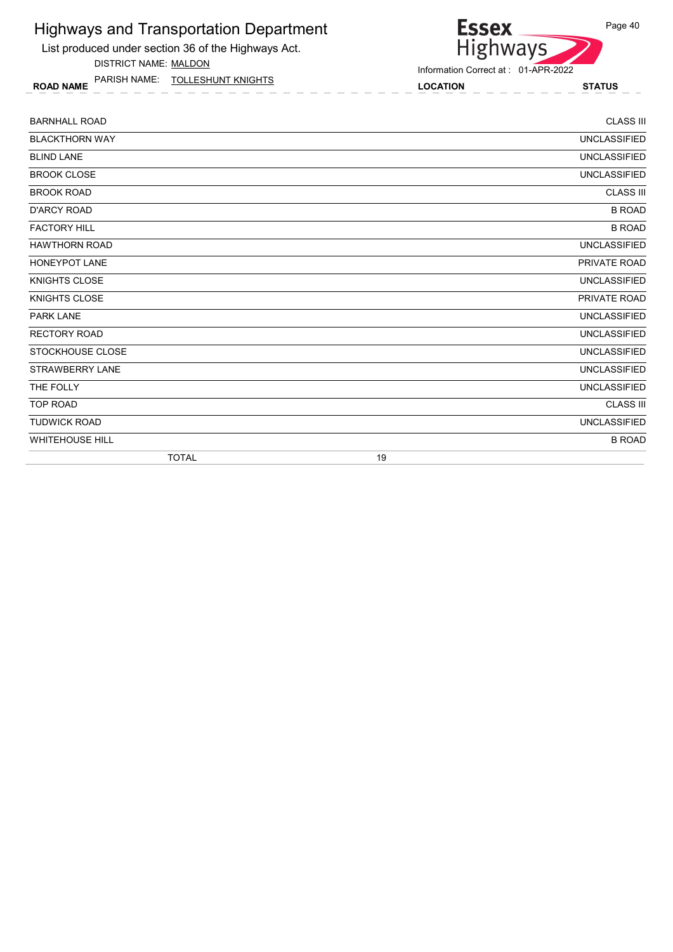List produced under section 36 of the Highways Act.

DISTRICT NAME: MALDON

ROAD NAME LOCATION STATUS PARISH NAME: TOLLESHUNT KNIGHTS



| <b>BARNHALL ROAD</b>   | <b>CLASS III</b>    |
|------------------------|---------------------|
| <b>BLACKTHORN WAY</b>  | <b>UNCLASSIFIED</b> |
| <b>BLIND LANE</b>      | <b>UNCLASSIFIED</b> |
| <b>BROOK CLOSE</b>     | <b>UNCLASSIFIED</b> |
| <b>BROOK ROAD</b>      | <b>CLASS III</b>    |
| <b>D'ARCY ROAD</b>     | <b>B ROAD</b>       |
| <b>FACTORY HILL</b>    | <b>B ROAD</b>       |
| <b>HAWTHORN ROAD</b>   | <b>UNCLASSIFIED</b> |
| <b>HONEYPOT LANE</b>   | PRIVATE ROAD        |
| <b>KNIGHTS CLOSE</b>   | <b>UNCLASSIFIED</b> |
| <b>KNIGHTS CLOSE</b>   | PRIVATE ROAD        |
| <b>PARK LANE</b>       | <b>UNCLASSIFIED</b> |
| <b>RECTORY ROAD</b>    | <b>UNCLASSIFIED</b> |
| STOCKHOUSE CLOSE       | <b>UNCLASSIFIED</b> |
| <b>STRAWBERRY LANE</b> | <b>UNCLASSIFIED</b> |
| THE FOLLY              | <b>UNCLASSIFIED</b> |
| <b>TOP ROAD</b>        | <b>CLASS III</b>    |
| <b>TUDWICK ROAD</b>    | <b>UNCLASSIFIED</b> |
| <b>WHITEHOUSE HILL</b> | <b>B ROAD</b>       |
| <b>TOTAL</b>           | 19                  |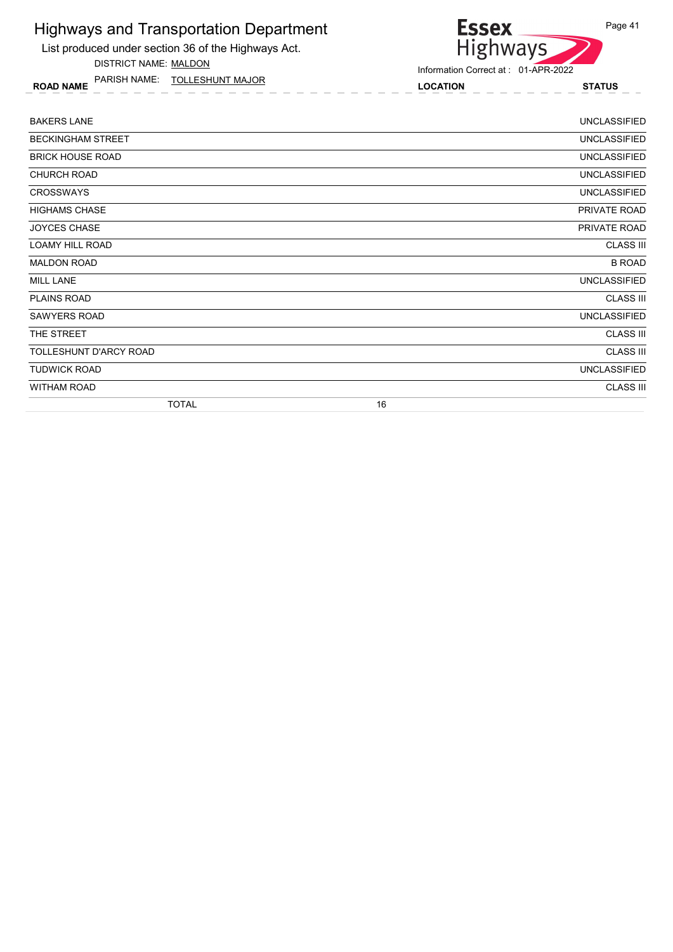List produced under section 36 of the Highways Act.

DISTRICT NAME: MALDON

ROAD NAME LOCATION STATUS PARISH NAME: TOLLESHUNT MAJOR

## Highways Information Correct at : 01-APR-2022

| <b>UNCLASSIFIED</b> |
|---------------------|
| <b>UNCLASSIFIED</b> |
| <b>UNCLASSIFIED</b> |
| <b>UNCLASSIFIED</b> |
| <b>UNCLASSIFIED</b> |
| PRIVATE ROAD        |
| PRIVATE ROAD        |
| <b>CLASS III</b>    |
| <b>B ROAD</b>       |
| <b>UNCLASSIFIED</b> |
| <b>CLASS III</b>    |
| <b>UNCLASSIFIED</b> |
| <b>CLASS III</b>    |
| <b>CLASS III</b>    |
| <b>UNCLASSIFIED</b> |
| <b>CLASS III</b>    |
| 16                  |
|                     |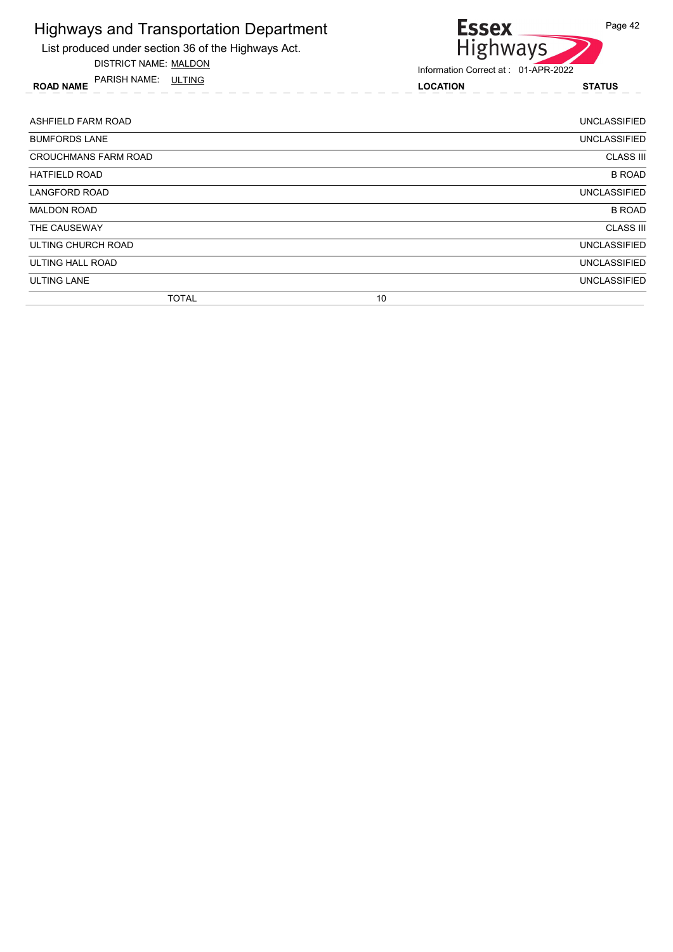

DISTRICT NAME: MALDON

ROAD NAME LOCATION STATUS PARISH NAME: ULTING



| ASHFIELD FARM ROAD          |    | UNCLASSIFIED        |
|-----------------------------|----|---------------------|
| <b>BUMFORDS LANE</b>        |    | UNCLASSIFIED        |
| <b>CROUCHMANS FARM ROAD</b> |    | <b>CLASS III</b>    |
| <b>HATFIELD ROAD</b>        |    | <b>B ROAD</b>       |
| <b>LANGFORD ROAD</b>        |    | <b>UNCLASSIFIED</b> |
| <b>MALDON ROAD</b>          |    | <b>B ROAD</b>       |
| THE CAUSEWAY                |    | <b>CLASS III</b>    |
| ULTING CHURCH ROAD          |    | <b>UNCLASSIFIED</b> |
| ULTING HALL ROAD            |    | <b>UNCLASSIFIED</b> |
| <b>ULTING LANE</b>          |    | <b>UNCLASSIFIED</b> |
| <b>TOTAL</b>                | 10 |                     |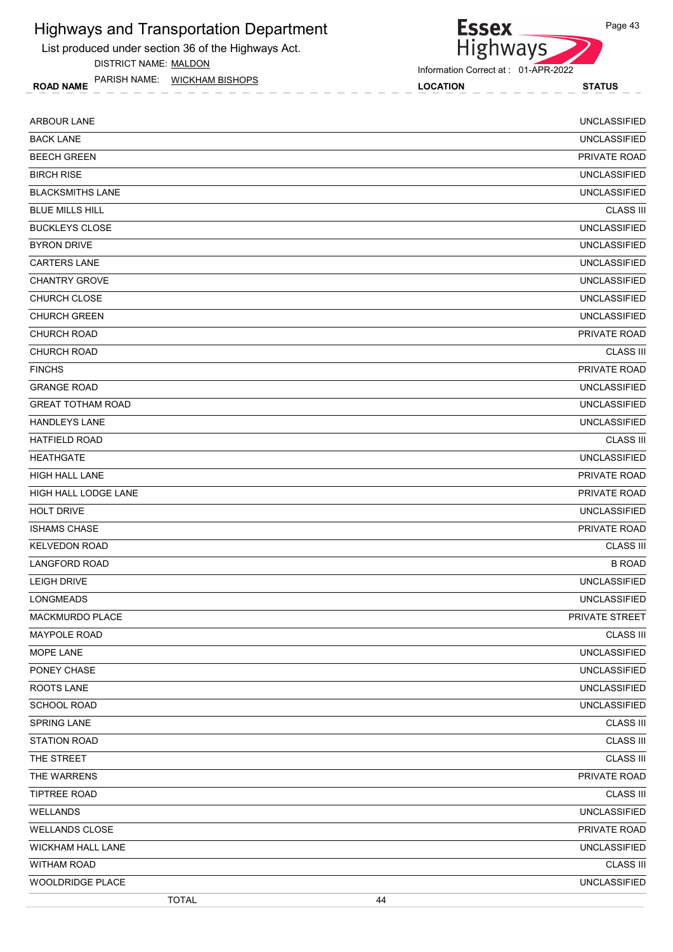List produced under section 36 of the Highways Act.

DISTRICT NAME: MALDON

ROAD NAME LOCATION STATUS PARISH NAME: WICKHAM BISHOPS

Highways Information Correct at : 01-APR-2022

**Essex** 

| <b>ARBOUR LANE</b>       | <b>UNCLASSIFIED</b>   |
|--------------------------|-----------------------|
| <b>BACK LANE</b>         | <b>UNCLASSIFIED</b>   |
| <b>BEECH GREEN</b>       | PRIVATE ROAD          |
| <b>BIRCH RISE</b>        | <b>UNCLASSIFIED</b>   |
| <b>BLACKSMITHS LANE</b>  | <b>UNCLASSIFIED</b>   |
| <b>BLUE MILLS HILL</b>   | <b>CLASS III</b>      |
| <b>BUCKLEYS CLOSE</b>    | <b>UNCLASSIFIED</b>   |
| <b>BYRON DRIVE</b>       | <b>UNCLASSIFIED</b>   |
| <b>CARTERS LANE</b>      | <b>UNCLASSIFIED</b>   |
| <b>CHANTRY GROVE</b>     | <b>UNCLASSIFIED</b>   |
| CHURCH CLOSE             | <b>UNCLASSIFIED</b>   |
| <b>CHURCH GREEN</b>      | <b>UNCLASSIFIED</b>   |
| <b>CHURCH ROAD</b>       | PRIVATE ROAD          |
| <b>CHURCH ROAD</b>       | <b>CLASS III</b>      |
| <b>FINCHS</b>            | PRIVATE ROAD          |
| <b>GRANGE ROAD</b>       | <b>UNCLASSIFIED</b>   |
| <b>GREAT TOTHAM ROAD</b> | <b>UNCLASSIFIED</b>   |
| <b>HANDLEYS LANE</b>     | <b>UNCLASSIFIED</b>   |
| <b>HATFIELD ROAD</b>     | <b>CLASS III</b>      |
| <b>HEATHGATE</b>         | <b>UNCLASSIFIED</b>   |
| <b>HIGH HALL LANE</b>    | PRIVATE ROAD          |
| HIGH HALL LODGE LANE     | PRIVATE ROAD          |
| <b>HOLT DRIVE</b>        | <b>UNCLASSIFIED</b>   |
| <b>ISHAMS CHASE</b>      | PRIVATE ROAD          |
| <b>KELVEDON ROAD</b>     | <b>CLASS III</b>      |
| <b>LANGFORD ROAD</b>     | <b>B ROAD</b>         |
| <b>LEIGH DRIVE</b>       | <b>UNCLASSIFIED</b>   |
| LONGMEADS                | <b>UNCLASSIFIED</b>   |
| <b>MACKMURDO PLACE</b>   | <b>PRIVATE STREET</b> |
| MAYPOLE ROAD             | <b>CLASS III</b>      |
| MOPE LANE                | <b>UNCLASSIFIED</b>   |
| PONEY CHASE              | <b>UNCLASSIFIED</b>   |
| ROOTS LANE               | <b>UNCLASSIFIED</b>   |
| SCHOOL ROAD              | <b>UNCLASSIFIED</b>   |
| SPRING LANE              | <b>CLASS III</b>      |
| <b>STATION ROAD</b>      | <b>CLASS III</b>      |
| THE STREET               | <b>CLASS III</b>      |
| THE WARRENS              | PRIVATE ROAD          |
| <b>TIPTREE ROAD</b>      | <b>CLASS III</b>      |
| WELLANDS                 | <b>UNCLASSIFIED</b>   |
| <b>WELLANDS CLOSE</b>    | PRIVATE ROAD          |
| WICKHAM HALL LANE        | <b>UNCLASSIFIED</b>   |
| WITHAM ROAD              | <b>CLASS III</b>      |
| WOOLDRIDGE PLACE         | <b>UNCLASSIFIED</b>   |
| <b>TOTAL</b>             | 44                    |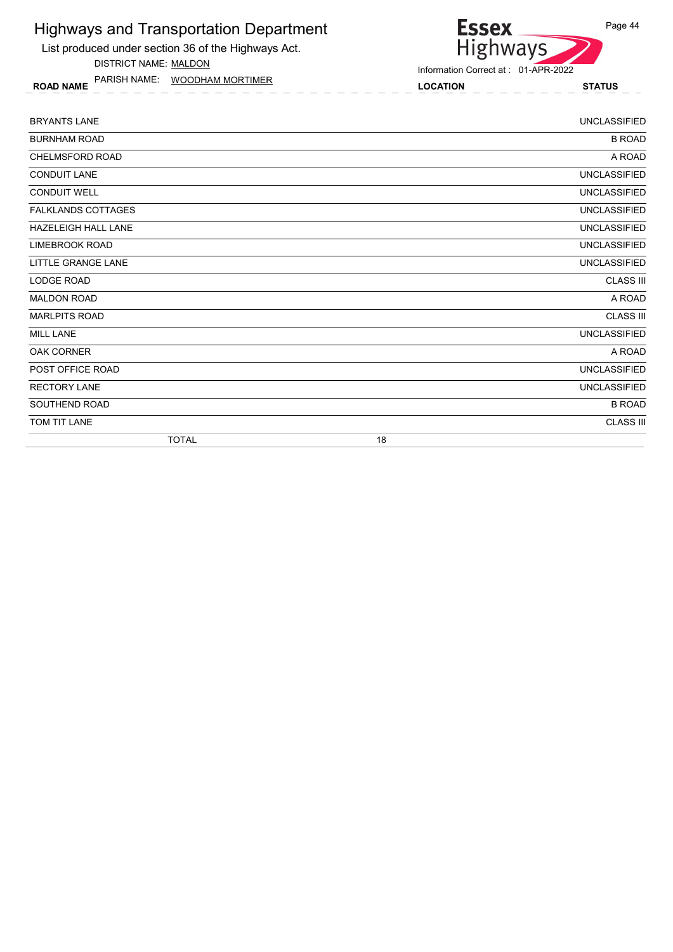List produced under section 36 of the Highways Act. DISTRICT NAME: MALDON

ROAD NAME LOCATION STATUS PARISH NAME: WOODHAM MORTIMER



| <b>BRYANTS LANE</b>        |    | <b>UNCLASSIFIED</b> |
|----------------------------|----|---------------------|
| <b>BURNHAM ROAD</b>        |    | <b>B ROAD</b>       |
| <b>CHELMSFORD ROAD</b>     |    | A ROAD              |
| <b>CONDUIT LANE</b>        |    | <b>UNCLASSIFIED</b> |
| <b>CONDUIT WELL</b>        |    | <b>UNCLASSIFIED</b> |
| <b>FALKLANDS COTTAGES</b>  |    | <b>UNCLASSIFIED</b> |
| <b>HAZELEIGH HALL LANE</b> |    | <b>UNCLASSIFIED</b> |
| <b>LIMEBROOK ROAD</b>      |    | <b>UNCLASSIFIED</b> |
| LITTLE GRANGE LANE         |    | <b>UNCLASSIFIED</b> |
| LODGE ROAD                 |    | <b>CLASS III</b>    |
| <b>MALDON ROAD</b>         |    | A ROAD              |
| <b>MARLPITS ROAD</b>       |    | <b>CLASS III</b>    |
| <b>MILL LANE</b>           |    | <b>UNCLASSIFIED</b> |
| <b>OAK CORNER</b>          |    | A ROAD              |
| POST OFFICE ROAD           |    | <b>UNCLASSIFIED</b> |
| <b>RECTORY LANE</b>        |    | <b>UNCLASSIFIED</b> |
| SOUTHEND ROAD              |    | <b>B ROAD</b>       |
| TOM TIT LANE               |    | <b>CLASS III</b>    |
| <b>TOTAL</b>               | 18 |                     |